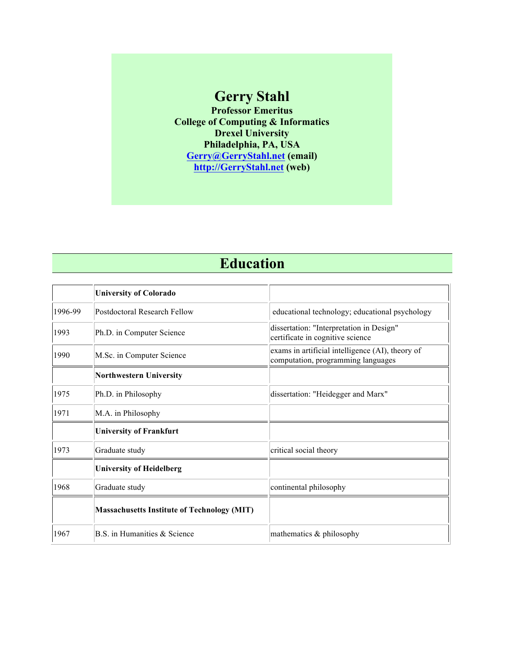# **Gerry Stahl**

**Professor Emeritus College of Computing & Informatics Drexel University Philadelphia, PA, USA Gerry@GerryStahl.net (email) http://GerryStahl.net (web)**

# **Education**

|         | <b>University of Colorado</b>                      |                                                                                        |
|---------|----------------------------------------------------|----------------------------------------------------------------------------------------|
| 1996-99 | Postdoctoral Research Fellow                       | educational technology; educational psychology                                         |
| 1993    | Ph.D. in Computer Science                          | dissertation: "Interpretation in Design"<br>certificate in cognitive science           |
| 1990    | M.Sc. in Computer Science                          | exams in artificial intelligence (AI), theory of<br>computation, programming languages |
|         | <b>Northwestern University</b>                     |                                                                                        |
| 1975    | Ph.D. in Philosophy                                | dissertation: "Heidegger and Marx"                                                     |
| 1971    | M.A. in Philosophy                                 |                                                                                        |
|         | <b>University of Frankfurt</b>                     |                                                                                        |
| 1973    | Graduate study                                     | critical social theory                                                                 |
|         | <b>University of Heidelberg</b>                    |                                                                                        |
| 1968    | Graduate study                                     | continental philosophy                                                                 |
|         | <b>Massachusetts Institute of Technology (MIT)</b> |                                                                                        |
| 1967    | B.S. in Humanities & Science                       | mathematics & philosophy                                                               |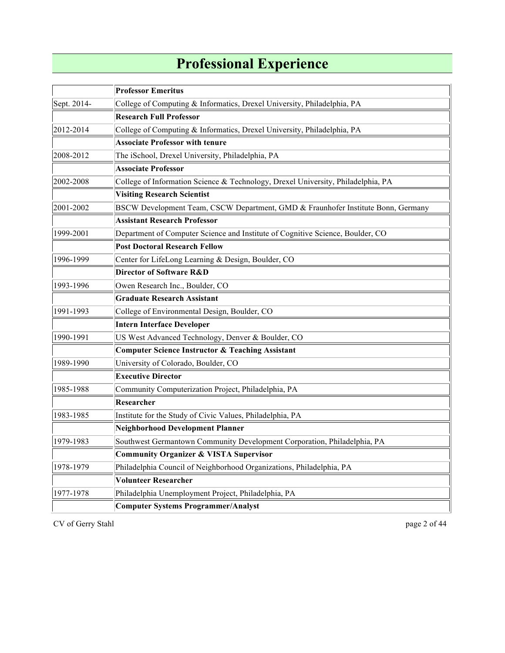# **Professional Experience**

|             | <b>Professor Emeritus</b>                                                        |  |  |
|-------------|----------------------------------------------------------------------------------|--|--|
| Sept. 2014- | College of Computing & Informatics, Drexel University, Philadelphia, PA          |  |  |
|             | <b>Research Full Professor</b>                                                   |  |  |
| 2012-2014   | College of Computing & Informatics, Drexel University, Philadelphia, PA          |  |  |
|             | <b>Associate Professor with tenure</b>                                           |  |  |
| 2008-2012   | The iSchool, Drexel University, Philadelphia, PA                                 |  |  |
|             | <b>Associate Professor</b>                                                       |  |  |
| 2002-2008   | College of Information Science & Technology, Drexel University, Philadelphia, PA |  |  |
|             | <b>Visiting Research Scientist</b>                                               |  |  |
| 2001-2002   | BSCW Development Team, CSCW Department, GMD & Fraunhofer Institute Bonn, Germany |  |  |
|             | <b>Assistant Research Professor</b>                                              |  |  |
| 1999-2001   | Department of Computer Science and Institute of Cognitive Science, Boulder, CO   |  |  |
|             | <b>Post Doctoral Research Fellow</b>                                             |  |  |
| 1996-1999   | Center for LifeLong Learning & Design, Boulder, CO                               |  |  |
|             | Director of Software R&D                                                         |  |  |
| 1993-1996   | Owen Research Inc., Boulder, CO                                                  |  |  |
|             | <b>Graduate Research Assistant</b>                                               |  |  |
| 1991-1993   | College of Environmental Design, Boulder, CO                                     |  |  |
|             | <b>Intern Interface Developer</b>                                                |  |  |
| 1990-1991   | US West Advanced Technology, Denver & Boulder, CO                                |  |  |
|             | <b>Computer Science Instructor &amp; Teaching Assistant</b>                      |  |  |
| 1989-1990   | University of Colorado, Boulder, CO                                              |  |  |
|             | <b>Executive Director</b>                                                        |  |  |
| 1985-1988   | Community Computerization Project, Philadelphia, PA                              |  |  |
|             | Researcher                                                                       |  |  |
| 1983-1985   | Institute for the Study of Civic Values, Philadelphia, PA                        |  |  |
|             | <b>Neighborhood Development Planner</b>                                          |  |  |
| 1979-1983   | Southwest Germantown Community Development Corporation, Philadelphia, PA         |  |  |
|             | <b>Community Organizer &amp; VISTA Supervisor</b>                                |  |  |
| 1978-1979   | Philadelphia Council of Neighborhood Organizations, Philadelphia, PA             |  |  |
|             | <b>Volunteer Researcher</b>                                                      |  |  |
| 1977-1978   | Philadelphia Unemployment Project, Philadelphia, PA                              |  |  |
|             | <b>Computer Systems Programmer/Analyst</b>                                       |  |  |

CV of Gerry Stahl page 2 of 44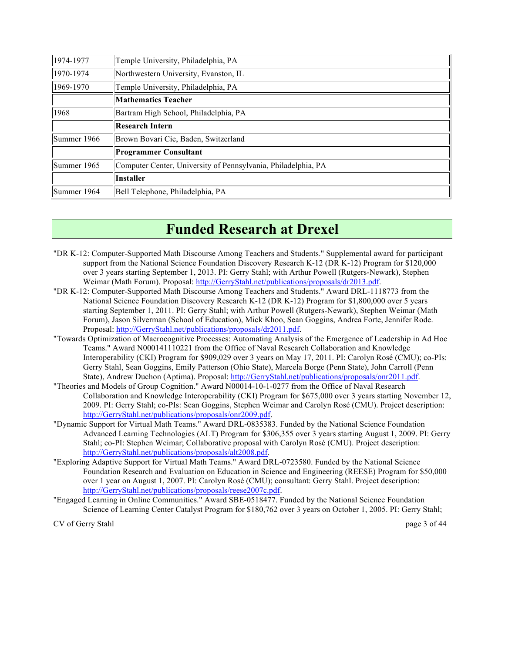| 1974-1977   | Temple University, Philadelphia, PA                           |  |
|-------------|---------------------------------------------------------------|--|
| 1970-1974   | Northwestern University, Evanston, IL                         |  |
| 1969-1970   | Temple University, Philadelphia, PA                           |  |
|             | <b>Mathematics Teacher</b>                                    |  |
| 1968        | Bartram High School, Philadelphia, PA                         |  |
|             | <b>Research Intern</b>                                        |  |
| Summer 1966 | Brown Bovari Cie, Baden, Switzerland                          |  |
|             | <b>Programmer Consultant</b>                                  |  |
| Summer 1965 | Computer Center, University of Pennsylvania, Philadelphia, PA |  |
|             | <b>Installer</b>                                              |  |
| Summer 1964 | Bell Telephone, Philadelphia, PA                              |  |

# **Funded Research at Drexel**

- "DR K-12: Computer-Supported Math Discourse Among Teachers and Students." Supplemental award for participant support from the National Science Foundation Discovery Research K-12 (DR K-12) Program for \$120,000 over 3 years starting September 1, 2013. PI: Gerry Stahl; with Arthur Powell (Rutgers-Newark), Stephen Weimar (Math Forum). Proposal: http://GerryStahl.net/publications/proposals/dr2013.pdf.
- "DR K-12: Computer-Supported Math Discourse Among Teachers and Students." Award DRL-1118773 from the National Science Foundation Discovery Research K-12 (DR K-12) Program for \$1,800,000 over 5 years starting September 1, 2011. PI: Gerry Stahl; with Arthur Powell (Rutgers-Newark), Stephen Weimar (Math Forum), Jason Silverman (School of Education), Mick Khoo, Sean Goggins, Andrea Forte, Jennifer Rode. Proposal: http://GerryStahl.net/publications/proposals/dr2011.pdf.
- "Towards Optimization of Macrocognitive Processes: Automating Analysis of the Emergence of Leadership in Ad Hoc Teams." Award N000141110221 from the Office of Naval Research Collaboration and Knowledge Interoperability (CKI) Program for \$909,029 over 3 years on May 17, 2011. PI: Carolyn Rosé (CMU); co-PIs: Gerry Stahl, Sean Goggins, Emily Patterson (Ohio State), Marcela Borge (Penn State), John Carroll (Penn State), Andrew Duchon (Aptima). Proposal: http://GerryStahl.net/publications/proposals/onr2011.pdf.
- "Theories and Models of Group Cognition." Award N00014-10-1-0277 from the Office of Naval Research Collaboration and Knowledge Interoperability (CKI) Program for \$675,000 over 3 years starting November 12, 2009. PI: Gerry Stahl; co-PIs: Sean Goggins, Stephen Weimar and Carolyn Rosé (CMU). Project description: http://GerryStahl.net/publications/proposals/onr2009.pdf.
- "Dynamic Support for Virtual Math Teams." Award DRL-0835383. Funded by the National Science Foundation Advanced Learning Technologies (ALT) Program for \$306,355 over 3 years starting August 1, 2009. PI: Gerry Stahl; co-PI: Stephen Weimar; Collaborative proposal with Carolyn Rosé (CMU). Project description: http://GerryStahl.net/publications/proposals/alt2008.pdf.
- "Exploring Adaptive Support for Virtual Math Teams." Award DRL-0723580. Funded by the National Science Foundation Research and Evaluation on Education in Science and Engineering (REESE) Program for \$50,000 over 1 year on August 1, 2007. PI: Carolyn Rosé (CMU); consultant: Gerry Stahl. Project description: http://GerryStahl.net/publications/proposals/reese2007c.pdf.
- "Engaged Learning in Online Communities." Award SBE-0518477. Funded by the National Science Foundation Science of Learning Center Catalyst Program for \$180,762 over 3 years on October 1, 2005. PI: Gerry Stahl;

CV of Gerry Stahl page 3 of 44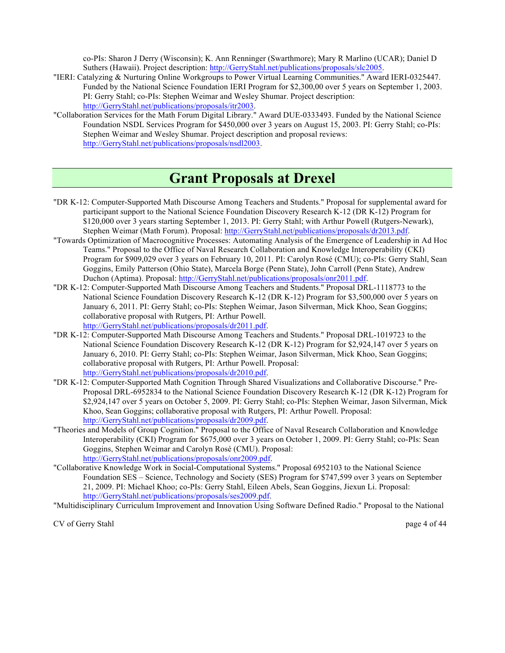co-PIs: Sharon J Derry (Wisconsin); K. Ann Renninger (Swarthmore); Mary R Marlino (UCAR); Daniel D Suthers (Hawaii). Project description: http://GerryStahl.net/publications/proposals/slc2005.

- "IERI: Catalyzing & Nurturing Online Workgroups to Power Virtual Learning Communities." Award IERI-0325447. Funded by the National Science Foundation IERI Program for \$2,300,00 over 5 years on September 1, 2003. PI: Gerry Stahl; co-PIs: Stephen Weimar and Wesley Shumar. Project description: http://GerryStahl.net/publications/proposals/itr2003.
- "Collaboration Services for the Math Forum Digital Library." Award DUE-0333493. Funded by the National Science Foundation NSDL Services Program for \$450,000 over 3 years on August 15, 2003. PI: Gerry Stahl; co-PIs: Stephen Weimar and Wesley Shumar. Project description and proposal reviews: http://GerryStahl.net/publications/proposals/nsdl2003.

### **Grant Proposals at Drexel**

- "DR K-12: Computer-Supported Math Discourse Among Teachers and Students." Proposal for supplemental award for participant support to the National Science Foundation Discovery Research K-12 (DR K-12) Program for \$120,000 over 3 years starting September 1, 2013. PI: Gerry Stahl; with Arthur Powell (Rutgers-Newark), Stephen Weimar (Math Forum). Proposal: http://GerryStahl.net/publications/proposals/dr2013.pdf.
- "Towards Optimization of Macrocognitive Processes: Automating Analysis of the Emergence of Leadership in Ad Hoc Teams." Proposal to the Office of Naval Research Collaboration and Knowledge Interoperability (CKI) Program for \$909,029 over 3 years on February 10, 2011. PI: Carolyn Rosé (CMU); co-PIs: Gerry Stahl, Sean Goggins, Emily Patterson (Ohio State), Marcela Borge (Penn State), John Carroll (Penn State), Andrew Duchon (Aptima). Proposal: http://GerryStahl.net/publications/proposals/onr2011.pdf.
- "DR K-12: Computer-Supported Math Discourse Among Teachers and Students." Proposal DRL-1118773 to the National Science Foundation Discovery Research K-12 (DR K-12) Program for \$3,500,000 over 5 years on January 6, 2011. PI: Gerry Stahl; co-PIs: Stephen Weimar, Jason Silverman, Mick Khoo, Sean Goggins; collaborative proposal with Rutgers, PI: Arthur Powell. http://GerryStahl.net/publications/proposals/dr2011.pdf.
- "DR K-12: Computer-Supported Math Discourse Among Teachers and Students." Proposal DRL-1019723 to the National Science Foundation Discovery Research K-12 (DR K-12) Program for \$2,924,147 over 5 years on January 6, 2010. PI: Gerry Stahl; co-PIs: Stephen Weimar, Jason Silverman, Mick Khoo, Sean Goggins; collaborative proposal with Rutgers, PI: Arthur Powell. Proposal: http://GerryStahl.net/publications/proposals/dr2010.pdf.
- "DR K-12: Computer-Supported Math Cognition Through Shared Visualizations and Collaborative Discourse." Pre-Proposal DRL-6952834 to the National Science Foundation Discovery Research K-12 (DR K-12) Program for \$2,924,147 over 5 years on October 5, 2009. PI: Gerry Stahl; co-PIs: Stephen Weimar, Jason Silverman, Mick Khoo, Sean Goggins; collaborative proposal with Rutgers, PI: Arthur Powell. Proposal: http://GerryStahl.net/publications/proposals/dr2009.pdf.
- "Theories and Models of Group Cognition." Proposal to the Office of Naval Research Collaboration and Knowledge Interoperability (CKI) Program for \$675,000 over 3 years on October 1, 2009. PI: Gerry Stahl; co-PIs: Sean Goggins, Stephen Weimar and Carolyn Rosé (CMU). Proposal: http://GerryStahl.net/publications/proposals/onr2009.pdf.
- "Collaborative Knowledge Work in Social-Computational Systems." Proposal 6952103 to the National Science Foundation SES – Science, Technology and Society (SES) Program for \$747,599 over 3 years on September 21, 2009. PI: Michael Khoo; co-PIs: Gerry Stahl, Eileen Abels, Sean Goggins, Jiexun Li. Proposal: http://GerryStahl.net/publications/proposals/ses2009.pdf.

"Multidisciplinary Curriculum Improvement and Innovation Using Software Defined Radio." Proposal to the National

CV of Gerry Stahl page 4 of 44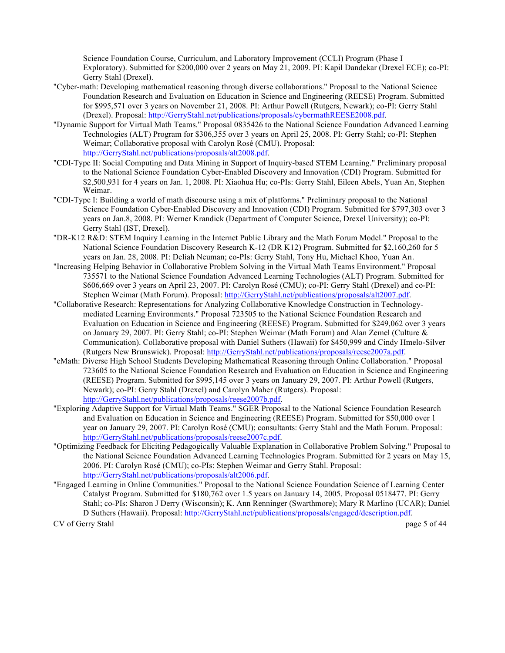Science Foundation Course, Curriculum, and Laboratory Improvement (CCLI) Program (Phase I — Exploratory). Submitted for \$200,000 over 2 years on May 21, 2009. PI: Kapil Dandekar (Drexel ECE); co-PI: Gerry Stahl (Drexel).

- "Cyber-math: Developing mathematical reasoning through diverse collaborations." Proposal to the National Science Foundation Research and Evaluation on Education in Science and Engineering (REESE) Program. Submitted for \$995,571 over 3 years on November 21, 2008. PI: Arthur Powell (Rutgers, Newark); co-PI: Gerry Stahl (Drexel). Proposal: http://GerryStahl.net/publications/proposals/cybermathREESE2008.pdf.
- "Dynamic Support for Virtual Math Teams." Proposal 0835426 to the National Science Foundation Advanced Learning Technologies (ALT) Program for \$306,355 over 3 years on April 25, 2008. PI: Gerry Stahl; co-PI: Stephen Weimar; Collaborative proposal with Carolyn Rosé (CMU). Proposal: http://GerryStahl.net/publications/proposals/alt2008.pdf.
- "CDI-Type II: Social Computing and Data Mining in Support of Inquiry-based STEM Learning." Preliminary proposal to the National Science Foundation Cyber-Enabled Discovery and Innovation (CDI) Program. Submitted for \$2,500,931 for 4 years on Jan. 1, 2008. PI: Xiaohua Hu; co-PIs: Gerry Stahl, Eileen Abels, Yuan An, Stephen Weimar.
- "CDI-Type I: Building a world of math discourse using a mix of platforms." Preliminary proposal to the National Science Foundation Cyber-Enabled Discovery and Innovation (CDI) Program. Submitted for \$797,303 over 3 years on Jan.8, 2008. PI: Werner Krandick (Department of Computer Science, Drexel University); co-PI: Gerry Stahl (IST, Drexel).
- "DR-K12 R&D: STEM Inquiry Learning in the Internet Public Library and the Math Forum Model." Proposal to the National Science Foundation Discovery Research K-12 (DR K12) Program. Submitted for \$2,160,260 for 5 years on Jan. 28, 2008. PI: Deliah Neuman; co-PIs: Gerry Stahl, Tony Hu, Michael Khoo, Yuan An.
- "Increasing Helping Behavior in Collaborative Problem Solving in the Virtual Math Teams Environment." Proposal 735571 to the National Science Foundation Advanced Learning Technologies (ALT) Program. Submitted for \$606,669 over 3 years on April 23, 2007. PI: Carolyn Rosé (CMU); co-PI: Gerry Stahl (Drexel) and co-PI: Stephen Weimar (Math Forum). Proposal: http://GerryStahl.net/publications/proposals/alt2007.pdf.
- "Collaborative Research: Representations for Analyzing Collaborative Knowledge Construction in Technologymediated Learning Environments." Proposal 723505 to the National Science Foundation Research and Evaluation on Education in Science and Engineering (REESE) Program. Submitted for \$249,062 over 3 years on January 29, 2007. PI: Gerry Stahl; co-PI: Stephen Weimar (Math Forum) and Alan Zemel (Culture & Communication). Collaborative proposal with Daniel Suthers (Hawaii) for \$450,999 and Cindy Hmelo-Silver (Rutgers New Brunswick). Proposal: http://GerryStahl.net/publications/proposals/reese2007a.pdf.
- "eMath: Diverse High School Students Developing Mathematical Reasoning through Online Collaboration." Proposal 723605 to the National Science Foundation Research and Evaluation on Education in Science and Engineering (REESE) Program. Submitted for \$995,145 over 3 years on January 29, 2007. PI: Arthur Powell (Rutgers, Newark); co-PI: Gerry Stahl (Drexel) and Carolyn Maher (Rutgers). Proposal: http://GerryStahl.net/publications/proposals/reese2007b.pdf.
- "Exploring Adaptive Support for Virtual Math Teams." SGER Proposal to the National Science Foundation Research and Evaluation on Education in Science and Engineering (REESE) Program. Submitted for \$50,000 over 1 year on January 29, 2007. PI: Carolyn Rosé (CMU); consultants: Gerry Stahl and the Math Forum. Proposal: http://GerryStahl.net/publications/proposals/reese2007c.pdf.
- "Optimizing Feedback for Eliciting Pedagogically Valuable Explanation in Collaborative Problem Solving." Proposal to the National Science Foundation Advanced Learning Technologies Program. Submitted for 2 years on May 15, 2006. PI: Carolyn Rosé (CMU); co-PIs: Stephen Weimar and Gerry Stahl. Proposal: http://GerryStahl.net/publications/proposals/alt2006.pdf.
- "Engaged Learning in Online Communities." Proposal to the National Science Foundation Science of Learning Center Catalyst Program. Submitted for \$180,762 over 1.5 years on January 14, 2005. Proposal 0518477. PI: Gerry Stahl; co-PIs: Sharon J Derry (Wisconsin); K. Ann Renninger (Swarthmore); Mary R Marlino (UCAR); Daniel D Suthers (Hawaii). Proposal: http://GerryStahl.net/publications/proposals/engaged/description.pdf.

CV of Gerry Stahl page 5 of 44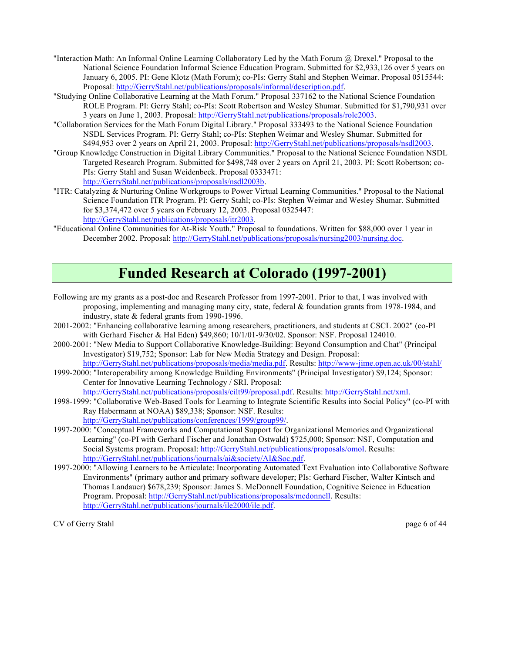- "Interaction Math: An Informal Online Learning Collaboratory Led by the Math Forum @ Drexel." Proposal to the National Science Foundation Informal Science Education Program. Submitted for \$2,933,126 over 5 years on January 6, 2005. PI: Gene Klotz (Math Forum); co-PIs: Gerry Stahl and Stephen Weimar. Proposal 0515544: Proposal: http://GerryStahl.net/publications/proposals/informal/description.pdf.
- "Studying Online Collaborative Learning at the Math Forum." Proposal 337162 to the National Science Foundation ROLE Program. PI: Gerry Stahl; co-PIs: Scott Robertson and Wesley Shumar. Submitted for \$1,790,931 over 3 years on June 1, 2003. Proposal: http://GerryStahl.net/publications/proposals/role2003.
- "Collaboration Services for the Math Forum Digital Library." Proposal 333493 to the National Science Foundation NSDL Services Program. PI: Gerry Stahl; co-PIs: Stephen Weimar and Wesley Shumar. Submitted for \$494,953 over 2 years on April 21, 2003. Proposal: http://GerryStahl.net/publications/proposals/nsdl2003.
- "Group Knowledge Construction in Digital Library Communities." Proposal to the National Science Foundation NSDL Targeted Research Program. Submitted for \$498,748 over 2 years on April 21, 2003. PI: Scott Robertson; co-PIs: Gerry Stahl and Susan Weidenbeck. Proposal 0333471: http://GerryStahl.net/publications/proposals/nsdl2003b.
- "ITR: Catalyzing & Nurturing Online Workgroups to Power Virtual Learning Communities." Proposal to the National Science Foundation ITR Program. PI: Gerry Stahl; co-PIs: Stephen Weimar and Wesley Shumar. Submitted for \$3,374,472 over 5 years on February 12, 2003. Proposal 0325447: http://GerryStahl.net/publications/proposals/itr2003.
- "Educational Online Communities for At-Risk Youth." Proposal to foundations. Written for \$88,000 over 1 year in December 2002. Proposal: http://GerryStahl.net/publications/proposals/nursing2003/nursing.doc.

# **Funded Research at Colorado (1997-2001)**

- Following are my grants as a post-doc and Research Professor from 1997-2001. Prior to that, I was involved with proposing, implementing and managing many city, state, federal & foundation grants from 1978-1984, and industry, state & federal grants from 1990-1996.
- 2001-2002: "Enhancing collaborative learning among researchers, practitioners, and students at CSCL 2002" (co-PI with Gerhard Fischer & Hal Eden) \$49,860; 10/1/01-9/30/02. Sponsor: NSF. Proposal 124010.
- 2000-2001: "New Media to Support Collaborative Knowledge-Building: Beyond Consumption and Chat" (Principal Investigator) \$19,752; Sponsor: Lab for New Media Strategy and Design. Proposal: http://GerryStahl.net/publications/proposals/media/media.pdf. Results: http://www-jime.open.ac.uk/00/stahl/

1999-2000: "Interoperability among Knowledge Building Environments" (Principal Investigator) \$9,124; Sponsor: Center for Innovative Learning Technology / SRI. Proposal: http://GerryStahl.net/publications/proposals/cilt99/proposal.pdf. Results: http://GerryStahl.net/xml.

- 1998-1999: "Collaborative Web-Based Tools for Learning to Integrate Scientific Results into Social Policy" (co-PI with Ray Habermann at NOAA) \$89,338; Sponsor: NSF. Results: http://GerryStahl.net/publications/conferences/1999/group99/.
- 1997-2000: "Conceptual Frameworks and Computational Support for Organizational Memories and Organizational Learning" (co-PI with Gerhard Fischer and Jonathan Ostwald) \$725,000; Sponsor: NSF, Computation and Social Systems program. Proposal: http://GerryStahl.net/publications/proposals/omol. Results: http://GerryStahl.net/publications/journals/ai&society/AI&Soc.pdf.
- 1997-2000: "Allowing Learners to be Articulate: Incorporating Automated Text Evaluation into Collaborative Software Environments" (primary author and primary software developer; PIs: Gerhard Fischer, Walter Kintsch and Thomas Landauer) \$678,239; Sponsor: James S. McDonnell Foundation, Cognitive Science in Education Program. Proposal: http://GerryStahl.net/publications/proposals/mcdonnell. Results: http://GerryStahl.net/publications/journals/ile2000/ile.pdf.

CV of Gerry Stahl page 6 of 44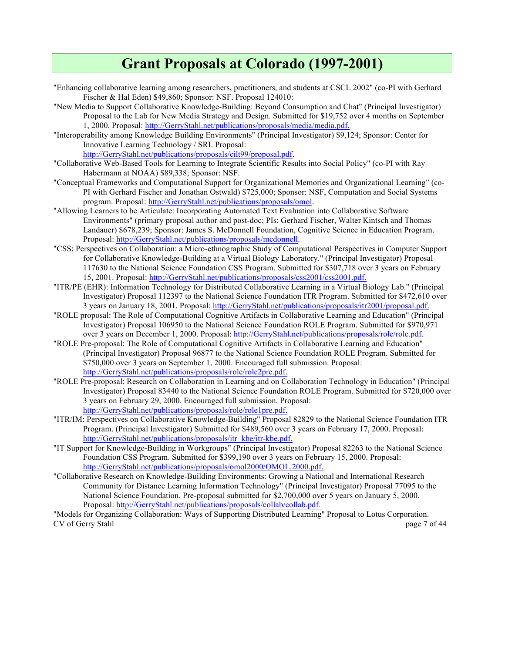## **Grant Proposals at Colorado (1997-2001)**

- "Enhancing collaborative learning among researchers, practitioners, and students at CSCL 2002" (co-PI with Gerhard Fischer & Hal Eden) \$49,860; Sponsor: NSF. Proposal 124010:
- "New Media to Support Collaborative Knowledge-Building: Beyond Consumption and Chat" (Principal Investigator) Proposal to the Lab for New Media Strategy and Design. Submitted for \$19,752 over 4 months on September 1, 2000. Proposal: http://GerryStahl.net/publications/proposals/media/media.pdf.
- "Interoperability among Knowledge Building Environments" (Principal Investigator) \$9,124; Sponsor: Center for Innovative Learning Technology / SRI. Proposal:

http://GerryStahl.net/publications/proposals/cilt99/proposal.pdf.

- "Collaborative Web-Based Tools for Learning to Integrate Scientific Results into Social Policy" (co-PI with Ray Habermann at NOAA) \$89,338; Sponsor: NSF.
- "Conceptual Frameworks and Computational Support for Organizational Memories and Organizational Learning" (co-PI with Gerhard Fischer and Jonathan Ostwald) \$725,000; Sponsor: NSF, Computation and Social Systems program. Proposal: http://GerryStahl.net/publications/proposals/omol.
- "Allowing Learners to be Articulate: Incorporating Automated Text Evaluation into Collaborative Software Environments" (primary proposal author and post-doc; PIs: Gerhard Fischer, Walter Kintsch and Thomas Landauer) \$678,239; Sponsor: James S. McDonnell Foundation, Cognitive Science in Education Program. Proposal: http://GerryStahl.net/publications/proposals/mcdonnell.
- "CSS: Perspectives on Collaboration: a Micro-ethnographic Study of Computational Perspectives in Computer Support for Collaborative Knowledge-Building at a Virtual Biology Laboratory." (Principal Investigator) Proposal 117630 to the National Science Foundation CSS Program. Submitted for \$307,718 over 3 years on February 15, 2001. Proposal: http://GerryStahl.net/publications/proposals/css2001/css2001.pdf.
- "ITR/PE (EHR): Information Technology for Distributed Collaborative Learning in a Virtual Biology Lab." (Principal Investigator) Proposal 112397 to the National Science Foundation ITR Program. Submitted for \$472,610 over 3 years on January 18, 2001. Proposal: http://GerryStahl.net/publications/proposals/itr2001/proposal.pdf.
- "ROLE proposal: The Role of Computational Cognitive Artifacts in Collaborative Learning and Education" (Principal Investigator) Proposal 106950 to the National Science Foundation ROLE Program. Submitted for \$970,971 over 3 years on December 1, 2000. Proposal: http://GerryStahl.net/publications/proposals/role/role.pdf.
- "ROLE Pre-proposal: The Role of Computational Cognitive Artifacts in Collaborative Learning and Education" (Principal Investigator) Proposal 96877 to the National Science Foundation ROLE Program. Submitted for \$750,000 over 3 years on September 1, 2000. Encouraged full submission. Proposal: http://GerryStahl.net/publications/proposals/role/role2pre.pdf.
- "ROLE Pre-proposal: Research on Collaboration in Learning and on Collaboration Technology in Education" (Principal Investigator) Proposal 83440 to the National Science Foundation ROLE Program. Submitted for \$720,000 over 3 years on February 29, 2000. Encouraged full submission. Proposal: http://GerryStahl.net/publications/proposals/role/role1pre.pdf.
- "ITR/IM: Perspectives on Collaborative Knowledge-Building" Proposal 82829 to the National Science Foundation ITR Program. (Principal Investigator) Submitted for \$489,560 over 3 years on February 17, 2000. Proposal: http://GerryStahl.net/publications/proposals/itr\_kbe/itr-kbe.pdf.
- "IT Support for Knowledge-Building in Workgroups" (Principal Investigator) Proposal 82263 to the National Science Foundation CSS Program. Submitted for \$399,190 over 3 years on February 15, 2000. Proposal: http://GerryStahl.net/publications/proposals/omol2000/OMOL.2000.pdf.
- "Collaborative Research on Knowledge-Building Environments: Growing a National and International Research Community for Distance Learning Information Technology" (Principal Investigator) Proposal 77095 to the National Science Foundation. Pre-proposal submitted for \$2,700,000 over 5 years on January 5, 2000. Proposal: http://GerryStahl.net/publications/proposals/collab/collab.pdf.

CV of Gerry Stahl page 7 of 44 "Models for Organizing Collaboration: Ways of Supporting Distributed Learning" Proposal to Lotus Corporation.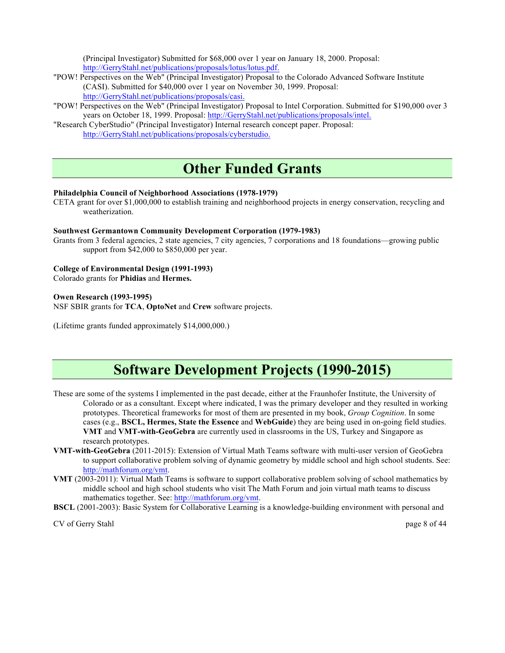(Principal Investigator) Submitted for \$68,000 over 1 year on January 18, 2000. Proposal: http://GerryStahl.net/publications/proposals/lotus/lotus.pdf.

- "POW! Perspectives on the Web" (Principal Investigator) Proposal to the Colorado Advanced Software Institute (CASI). Submitted for \$40,000 over 1 year on November 30, 1999. Proposal: http://GerryStahl.net/publications/proposals/casi.
- "POW! Perspectives on the Web" (Principal Investigator) Proposal to Intel Corporation. Submitted for \$190,000 over 3 years on October 18, 1999. Proposal: http://GerryStahl.net/publications/proposals/intel.
- "Research CyberStudio" (Principal Investigator) Internal research concept paper. Proposal: http://GerryStahl.net/publications/proposals/cyberstudio.

# **Other Funded Grants**

#### **Philadelphia Council of Neighborhood Associations (1978-1979)**

CETA grant for over \$1,000,000 to establish training and neighborhood projects in energy conservation, recycling and weatherization.

#### **Southwest Germantown Community Development Corporation (1979-1983)**

Grants from 3 federal agencies, 2 state agencies, 7 city agencies, 7 corporations and 18 foundations—growing public support from \$42,000 to \$850,000 per year.

#### **College of Environmental Design (1991-1993)**

Colorado grants for **Phidias** and **Hermes.**

#### **Owen Research (1993-1995)**

NSF SBIR grants for **TCA**, **OptoNet** and **Crew** software projects.

(Lifetime grants funded approximately \$14,000,000.)

# **Software Development Projects (1990-2015)**

- These are some of the systems I implemented in the past decade, either at the Fraunhofer Institute, the University of Colorado or as a consultant. Except where indicated, I was the primary developer and they resulted in working prototypes. Theoretical frameworks for most of them are presented in my book, *Group Cognition*. In some cases (e.g., **BSCL, Hermes, State the Essence** and **WebGuide**) they are being used in on-going field studies. **VMT** and **VMT-with-GeoGebra** are currently used in classrooms in the US, Turkey and Singapore as research prototypes.
- **VMT-with-GeoGebra** (2011-2015): Extension of Virtual Math Teams software with multi-user version of GeoGebra to support collaborative problem solving of dynamic geometry by middle school and high school students. See: http://mathforum.org/vmt.
- **VMT** (2003-2011): Virtual Math Teams is software to support collaborative problem solving of school mathematics by middle school and high school students who visit The Math Forum and join virtual math teams to discuss mathematics together. See: http://mathforum.org/vmt.
- **BSCL** (2001-2003): Basic System for Collaborative Learning is a knowledge-building environment with personal and

CV of Gerry Stahl page 8 of 44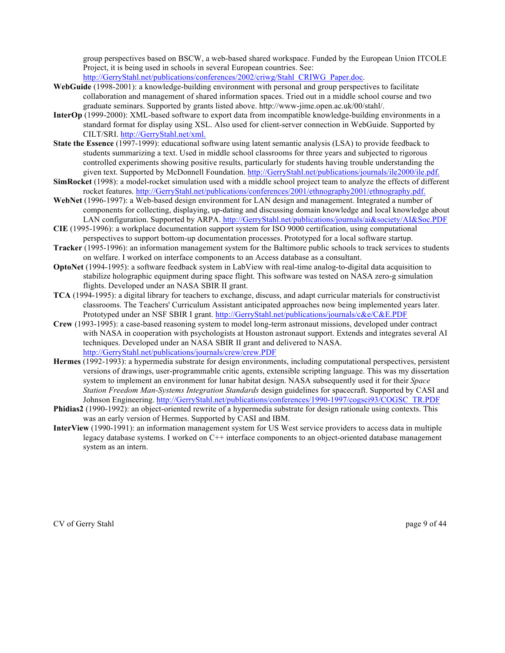group perspectives based on BSCW, a web-based shared workspace. Funded by the European Union ITCOLE Project, it is being used in schools in several European countries. See:

http://GerryStahl.net/publications/conferences/2002/criwg/Stahl\_CRIWG\_Paper.doc.

- **WebGuide** (1998-2001): a knowledge-building environment with personal and group perspectives to facilitate collaboration and management of shared information spaces. Tried out in a middle school course and two graduate seminars. Supported by grants listed above. http://www-jime.open.ac.uk/00/stahl/.
- **InterOp** (1999-2000): XML-based software to export data from incompatible knowledge-building environments in a standard format for display using XSL. Also used for client-server connection in WebGuide. Supported by CILT/SRI. http://GerryStahl.net/xml.
- **State the Essence** (1997-1999): educational software using latent semantic analysis (LSA) to provide feedback to students summarizing a text. Used in middle school classrooms for three years and subjected to rigorous controlled experiments showing positive results, particularly for students having trouble understanding the given text. Supported by McDonnell Foundation. http://GerryStahl.net/publications/journals/ile2000/ile.pdf.
- **SimRocket** (1998): a model-rocket simulation used with a middle school project team to analyze the effects of different rocket features. http://GerryStahl.net/publications/conferences/2001/ethnography2001/ethnography.pdf.
- **WebNet** (1996-1997): a Web-based design environment for LAN design and management. Integrated a number of components for collecting, displaying, up-dating and discussing domain knowledge and local knowledge about LAN configuration. Supported by ARPA. http://GerryStahl.net/publications/journals/ai&society/AI&Soc.PDF
- **CIE** (1995-1996): a workplace documentation support system for ISO 9000 certification, using computational perspectives to support bottom-up documentation processes. Prototyped for a local software startup.
- **Tracker** (1995-1996): an information management system for the Baltimore public schools to track services to students on welfare. I worked on interface components to an Access database as a consultant.
- **OptoNet** (1994-1995): a software feedback system in LabView with real-time analog-to-digital data acquisition to stabilize holographic equipment during space flight. This software was tested on NASA zero-g simulation flights. Developed under an NASA SBIR II grant.
- **TCA** (1994-1995): a digital library for teachers to exchange, discuss, and adapt curricular materials for constructivist classrooms. The Teachers' Curriculum Assistant anticipated approaches now being implemented years later. Prototyped under an NSF SBIR I grant. http://GerryStahl.net/publications/journals/c&e/C&E.PDF
- **Crew** (1993-1995): a case-based reasoning system to model long-term astronaut missions, developed under contract with NASA in cooperation with psychologists at Houston astronaut support. Extends and integrates several AI techniques. Developed under an NASA SBIR II grant and delivered to NASA. http://GerryStahl.net/publications/journals/crew/crew.PDF
- **Hermes** (1992-1993): a hypermedia substrate for design environments, including computational perspectives, persistent versions of drawings, user-programmable critic agents, extensible scripting language. This was my dissertation system to implement an environment for lunar habitat design. NASA subsequently used it for their *Space Station Freedom Man-Systems Integration Standards* design guidelines for spacecraft. Supported by CASI and Johnson Engineering. http://GerryStahl.net/publications/conferences/1990-1997/cogsci93/COGSC\_TR.PDF
- **Phidias2** (1990-1992): an object-oriented rewrite of a hypermedia substrate for design rationale using contexts. This was an early version of Hermes. Supported by CASI and IBM.
- **InterView** (1990-1991): an information management system for US West service providers to access data in multiple legacy database systems. I worked on C++ interface components to an object-oriented database management system as an intern.

CV of Gerry Stahl page 9 of 44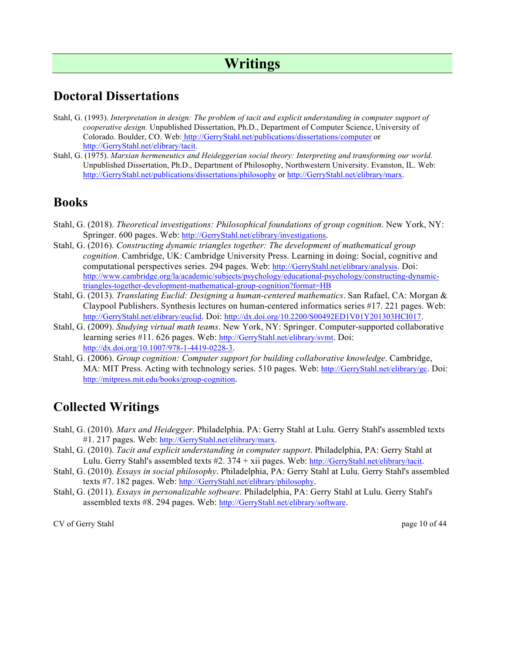# **Writings**

#### **Doctoral Dissertations**

- Stahl, G. (1993). *Interpretation in design: The problem of tacit and explicit understanding in computer support of cooperative design.* Unpublished Dissertation, Ph.D., Department of Computer Science, University of Colorado. Boulder, CO. Web: http://GerryStahl.net/publications/dissertations/computer or http://GerryStahl.net/elibrary/tacit.
- Stahl, G. (1975). *Marxian hermeneutics and Heideggerian social theory: Interpreting and transforming our world.* Unpublished Dissertation, Ph.D., Department of Philosophy, Northwestern University. Evanston, IL. Web: http://GerryStahl.net/publications/dissertations/philosophy or http://GerryStahl.net/elibrary/marx.

#### **Books**

- Stahl, G. (2018). *Theoretical investigations: Philosophical foundations of group cognition*. New York, NY: Springer. 600 pages. Web: http://GerryStahl.net/elibrary/investigations.
- Stahl, G. (2016). *Constructing dynamic triangles together: The development of mathematical group cognition*. Cambridge, UK: Cambridge University Press. Learning in doing: Social, cognitive and computational perspectives series. 294 pages. Web: http://GerryStahl.net/elibrary/analysis. Doi: http://www.cambridge.org/la/academic/subjects/psychology/educational-psychology/constructing-dynamictriangles-together-development-mathematical-group-cognition?format=HB
- Stahl, G. (2013). *Translating Euclid: Designing a human-centered mathematics*. San Rafael, CA: Morgan & Claypool Publishers. Synthesis lectures on human-centered informatics series #17. 221 pages. Web: http://GerryStahl.net/elibrary/euclid. Doi: http://dx.doi.org/10.2200/S00492ED1V01Y201303HCI017.
- Stahl, G. (2009). *Studying virtual math teams*. New York, NY: Springer. Computer-supported collaborative learning series #11. 626 pages. Web: http://GerryStahl.net/elibrary/svmt. Doi: http://dx.doi.org/10.1007/978-1-4419-0228-3.
- Stahl, G. (2006). *Group cognition: Computer support for building collaborative knowledge*. Cambridge, MA: MIT Press. Acting with technology series. 510 pages. Web: http://GerryStahl.net/elibrary/gc. Doi: http://mitpress.mit.edu/books/group-cognition.

# **Collected Writings**

- Stahl, G. (2010). *Marx and Heidegger*. Philadelphia. PA: Gerry Stahl at Lulu. Gerry Stahl's assembled texts #1. 217 pages. Web: http://GerryStahl.net/elibrary/marx.
- Stahl, G. (2010). *Tacit and explicit understanding in computer support*. Philadelphia, PA: Gerry Stahl at Lulu. Gerry Stahl's assembled texts #2. 374 + xii pages. Web: http://GerryStahl.net/elibrary/tacit.
- Stahl, G. (2010). *Essays in social philosophy*. Philadelphia, PA: Gerry Stahl at Lulu. Gerry Stahl's assembled texts #7. 182 pages. Web: http://GerryStahl.net/elibrary/philosophy.
- Stahl, G. (2011). *Essays in personalizable software*. Philadelphia, PA: Gerry Stahl at Lulu. Gerry Stahl's assembled texts #8. 294 pages. Web: http://GerryStahl.net/elibrary/software.

CV of Gerry Stahl page 10 of 44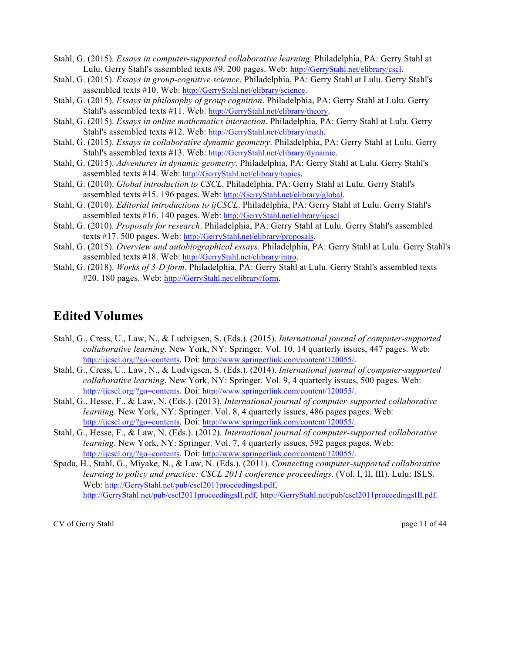Stahl, G. (2015). *Essays in computer-supported collaborative learning*. Philadelphia, PA: Gerry Stahl at Lulu. Gerry Stahl's assembled texts #9. 200 pages. Web: http://GerryStahl.net/elibrary/cscl.

Stahl, G. (2015). *Essays in group-cognitive science*. Philadelphia, PA: Gerry Stahl at Lulu. Gerry Stahl's assembled texts #10. Web: http://GerryStahl.net/elibrary/science.

Stahl, G. (2015). *Essays in philosophy of group cognition*. Philadelphia, PA: Gerry Stahl at Lulu. Gerry Stahl's assembled texts #11. Web: http://GerryStahl.net/elibrary/theory.

- Stahl, G. (2015). *Essays in online mathematics interaction*. Philadelphia, PA: Gerry Stahl at Lulu. Gerry Stahl's assembled texts #12. Web: http://GerryStahl.net/elibrary/math.
- Stahl, G. (2015). *Essays in collaborative dynamic geometry*. Philadelphia, PA: Gerry Stahl at Lulu. Gerry Stahl's assembled texts #13. Web: http://GerryStahl.net/elibrary/dynamic.
- Stahl, G. (2015). *Adventures in dynamic geometry*. Philadelphia, PA: Gerry Stahl at Lulu. Gerry Stahl's assembled texts #14. Web: http://GerryStahl.net/elibrary/topics.
- Stahl, G. (2010). *Global introduction to CSCL*. Philadelphia, PA: Gerry Stahl at Lulu. Gerry Stahl's assembled texts #15. 196 pages. Web: http://GerryStahl.net/elibrary/global.
- Stahl, G. (2010). *Editorial introductions to ijCSCL*. Philadelphia, PA: Gerry Stahl at Lulu. Gerry Stahl's assembled texts #16. 140 pages. Web: http://GerryStahl.net/elibrary/ijcscl
- Stahl, G. (2010). *Proposals for research*. Philadelphia, PA: Gerry Stahl at Lulu. Gerry Stahl's assembled texts #17. 500 pages. Web: http://GerryStahl.net/elibrary/proposals.
- Stahl, G. (2015). *Overview and autobiographical essays*. Philadelphia, PA: Gerry Stahl at Lulu. Gerry Stahl's assembled texts #18. Web: http://GerryStahl.net/elibrary/intro.

Stahl, G. (2018). *Works of 3-D form*. Philadelphia, PA: Gerry Stahl at Lulu. Gerry Stahl's assembled texts #20. 180 pages. Web: http://GerryStahl.net/elibrary/form.

#### **Edited Volumes**

- Stahl, G., Cress, U., Law, N., & Ludvigsen, S. (Eds.). (2015). *International journal of computer-supported collaborative learning*. New York, NY: Springer. Vol. 10, 14 quarterly issues, 447 pages. Web: http://ijcscl.org/?go=contents. Doi: http://www.springerlink.com/content/120055/.
- Stahl, G., Cress, U., Law, N., & Ludvigsen, S. (Eds.). (2014). *International journal of computer-supported collaborative learning*. New York, NY: Springer. Vol. 9, 4 quarterly issues, 500 pages. Web: http://ijcscl.org/?go=contents. Doi: http://www.springerlink.com/content/120055/.
- Stahl, G., Hesse, F., & Law, N. (Eds.). (2013). *International journal of computer-supported collaborative learning*. New York, NY: Springer. Vol. 8, 4 quarterly issues, 486 pages pages. Web: http://ijcscl.org/?go=contents. Doi: http://www.springerlink.com/content/120055/.
- Stahl, G., Hesse, F., & Law, N. (Eds.). (2012). *International journal of computer-supported collaborative learning*. New York, NY: Springer. Vol. 7, 4 quarterly issues, 592 pages pages. Web: http://ijcscl.org/?go=contents. Doi: http://www.springerlink.com/content/120055/.
- Spada, H., Stahl, G., Miyake, N., & Law, N. (Eds.). (2011). *Connecting computer-supported collaborative learning to policy and practice: CSCL 2011 conference proceedings*. (Vol. I, II, III). Lulu: ISLS. Web: http://GerryStahl.net/pub/cscl2011proceedingsI.pdf, http://GerryStahl.net/pub/cscl2011proceedingsII.pdf, http://GerryStahl.net/pub/cscl2011proceedingsIII.pdf.

CV of Gerry Stahl page 11 of 44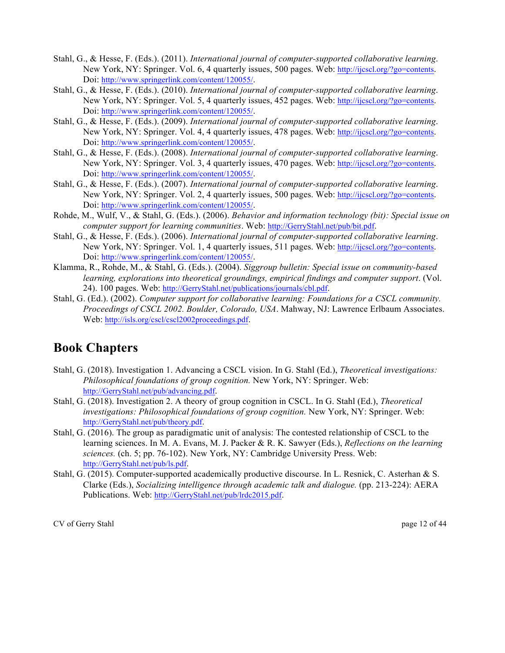- Stahl, G., & Hesse, F. (Eds.). (2011). *International journal of computer-supported collaborative learning*. New York, NY: Springer. Vol. 6, 4 quarterly issues, 500 pages. Web: http://ijcscl.org/?go=contents. Doi: http://www.springerlink.com/content/120055/.
- Stahl, G., & Hesse, F. (Eds.). (2010). *International journal of computer-supported collaborative learning*. New York, NY: Springer. Vol. 5, 4 quarterly issues, 452 pages. Web: http://ijcscl.org/?go=contents. Doi: http://www.springerlink.com/content/120055/.
- Stahl, G., & Hesse, F. (Eds.). (2009). *International journal of computer-supported collaborative learning*. New York, NY: Springer. Vol. 4, 4 quarterly issues, 478 pages. Web: http://ijcscl.org/?go=contents. Doi: http://www.springerlink.com/content/120055/.
- Stahl, G., & Hesse, F. (Eds.). (2008). *International journal of computer-supported collaborative learning*. New York, NY: Springer. Vol. 3, 4 quarterly issues, 470 pages. Web: http://ijcscl.org/?go=contents. Doi: http://www.springerlink.com/content/120055/.
- Stahl, G., & Hesse, F. (Eds.). (2007). *International journal of computer-supported collaborative learning*. New York, NY: Springer. Vol. 2, 4 quarterly issues, 500 pages. Web: http://ijcscl.org/?go=contents. Doi: http://www.springerlink.com/content/120055/.
- Rohde, M., Wulf, V., & Stahl, G. (Eds.). (2006). *Behavior and information technology (bit): Special issue on computer support for learning communities*. Web: http://GerryStahl.net/pub/bit.pdf.
- Stahl, G., & Hesse, F. (Eds.). (2006). *International journal of computer-supported collaborative learning*. New York, NY: Springer. Vol. 1, 4 quarterly issues, 511 pages. Web: http://ijcscl.org/?go=contents. Doi: http://www.springerlink.com/content/120055/.
- Klamma, R., Rohde, M., & Stahl, G. (Eds.). (2004). *Siggroup bulletin: Special issue on community-based learning, explorations into theoretical groundings, empirical findings and computer support*. (Vol. 24). 100 pages. Web: http://GerryStahl.net/publications/journals/cbl.pdf.
- Stahl, G. (Ed.). (2002). *Computer support for collaborative learning: Foundations for a CSCL community. Proceedings of CSCL 2002. Boulder, Colorado, USA*. Mahway, NJ: Lawrence Erlbaum Associates. Web: http://isls.org/cscl/cscl2002proceedings.pdf.

#### **Book Chapters**

- Stahl, G. (2018). Investigation 1. Advancing a CSCL vision. In G. Stahl (Ed.), *Theoretical investigations: Philosophical foundations of group cognition.* New York, NY: Springer. Web: http://GerryStahl.net/pub/advancing.pdf.
- Stahl, G. (2018). Investigation 2. A theory of group cognition in CSCL. In G. Stahl (Ed.), *Theoretical investigations: Philosophical foundations of group cognition.* New York, NY: Springer. Web: http://GerryStahl.net/pub/theory.pdf.
- Stahl, G. (2016). The group as paradigmatic unit of analysis: The contested relationship of CSCL to the learning sciences. In M. A. Evans, M. J. Packer & R. K. Sawyer (Eds.), *Reflections on the learning sciences.* (ch. 5; pp. 76-102). New York, NY: Cambridge University Press. Web: http://GerryStahl.net/pub/ls.pdf.
- Stahl, G. (2015). Computer-supported academically productive discourse. In L. Resnick, C. Asterhan & S. Clarke (Eds.), *Socializing intelligence through academic talk and dialogue.* (pp. 213-224): AERA Publications. Web: http://GerryStahl.net/pub/lrdc2015.pdf.

CV of Gerry Stahl page 12 of 44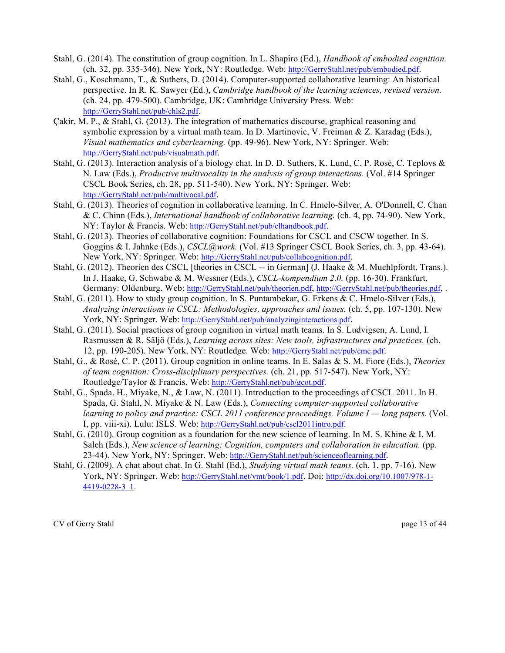- Stahl, G. (2014). The constitution of group cognition. In L. Shapiro (Ed.), *Handbook of embodied cognition.* (ch. 32, pp. 335-346). New York, NY: Routledge. Web: http://GerryStahl.net/pub/embodied.pdf.
- Stahl, G., Koschmann, T., & Suthers, D. (2014). Computer-supported collaborative learning: An historical perspective. In R. K. Sawyer (Ed.), *Cambridge handbook of the learning sciences, revised version.* (ch. 24, pp. 479-500). Cambridge, UK: Cambridge University Press. Web: http://GerryStahl.net/pub/chls2.pdf.
- Çakir, M. P., & Stahl, G. (2013). The integration of mathematics discourse, graphical reasoning and symbolic expression by a virtual math team. In D. Martinovic, V. Freiman & Z. Karadag (Eds.), *Visual mathematics and cyberlearning.* (pp. 49-96). New York, NY: Springer. Web: http://GerryStahl.net/pub/visualmath.pdf.
- Stahl, G. (2013). Interaction analysis of a biology chat. In D. D. Suthers, K. Lund, C. P. Rosé, C. Teplovs & N. Law (Eds.), *Productive multivocality in the analysis of group interactions.* (Vol. #14 Springer CSCL Book Series, ch. 28, pp. 511-540). New York, NY: Springer. Web: http://GerryStahl.net/pub/multivocal.pdf.
- Stahl, G. (2013). Theories of cognition in collaborative learning. In C. Hmelo-Silver, A. O'Donnell, C. Chan & C. Chinn (Eds.), *International handbook of collaborative learning.* (ch. 4, pp. 74-90). New York, NY: Taylor & Francis. Web: http://GerryStahl.net/pub/clhandbook.pdf.
- Stahl, G. (2013). Theories of collaborative cognition: Foundations for CSCL and CSCW together. In S. Goggins & I. Jahnke (Eds.), *CSCL@work.* (Vol. #13 Springer CSCL Book Series, ch. 3, pp. 43-64). New York, NY: Springer. Web: http://GerryStahl.net/pub/collabcognition.pdf.
- Stahl, G. (2012). Theorien des CSCL [theories in CSCL -- in German] (J. Haake & M. Muehlpfordt, Trans.). In J. Haake, G. Schwabe & M. Wessner (Eds.), *CSCL-kompendium 2.0.* (pp. 16-30). Frankfurt, Germany: Oldenburg. Web: http://GerryStahl.net/pub/theorien.pdf, http://GerryStahl.net/pub/theories.pdf, .
- Stahl, G. (2011). How to study group cognition. In S. Puntambekar, G. Erkens & C. Hmelo-Silver (Eds.), *Analyzing interactions in CSCL: Methodologies, approaches and issues.* (ch. 5, pp. 107-130). New York, NY: Springer. Web: http://GerryStahl.net/pub/analyzinginteractions.pdf.
- Stahl, G. (2011). Social practices of group cognition in virtual math teams. In S. Ludvigsen, A. Lund, I. Rasmussen & R. Säljö (Eds.), *Learning across sites: New tools, infrastructures and practices.* (ch. 12, pp. 190-205). New York, NY: Routledge. Web: http://GerryStahl.net/pub/cmc.pdf.
- Stahl, G., & Rosé, C. P. (2011). Group cognition in online teams. In E. Salas & S. M. Fiore (Eds.), *Theories of team cognition: Cross-disciplinary perspectives.* (ch. 21, pp. 517-547). New York, NY: Routledge/Taylor & Francis. Web: http://GerryStahl.net/pub/gcot.pdf.
- Stahl, G., Spada, H., Miyake, N., & Law, N. (2011). Introduction to the proceedings of CSCL 2011. In H. Spada, G. Stahl, N. Miyake & N. Law (Eds.), *Connecting computer-supported collaborative learning to policy and practice: CSCL 2011 conference proceedings. Volume I — long papers.* (Vol. I, pp. viii-xi). Lulu: ISLS. Web: http://GerryStahl.net/pub/cscl2011intro.pdf.
- Stahl, G. (2010). Group cognition as a foundation for the new science of learning. In M. S. Khine & I. M. Saleh (Eds.), *New science of learning: Cognition, computers and collaboration in education.* (pp. 23-44). New York, NY: Springer. Web: http://GerryStahl.net/pub/scienceoflearning.pdf.
- Stahl, G. (2009). A chat about chat. In G. Stahl (Ed.), *Studying virtual math teams.* (ch. 1, pp. 7-16). New York, NY: Springer. Web: http://GerryStahl.net/vmt/book/1.pdf. Doi: http://dx.doi.org/10.1007/978-1- 4419-0228-3\_1.

CV of Gerry Stahl page 13 of 44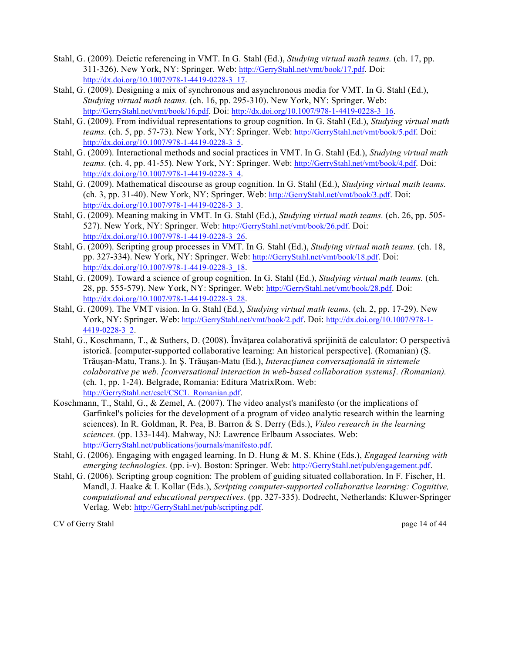- Stahl, G. (2009). Deictic referencing in VMT. In G. Stahl (Ed.), *Studying virtual math teams.* (ch. 17, pp. 311-326). New York, NY: Springer. Web: http://GerryStahl.net/vmt/book/17.pdf. Doi: http://dx.doi.org/10.1007/978-1-4419-0228-3\_17.
- Stahl, G. (2009). Designing a mix of synchronous and asynchronous media for VMT. In G. Stahl (Ed.), *Studying virtual math teams.* (ch. 16, pp. 295-310). New York, NY: Springer. Web: http://GerryStahl.net/vmt/book/16.pdf. Doi: http://dx.doi.org/10.1007/978-1-4419-0228-3\_16.
- Stahl, G. (2009). From individual representations to group cognition. In G. Stahl (Ed.), *Studying virtual math teams.* (ch. 5, pp. 57-73). New York, NY: Springer. Web: http://GerryStahl.net/vmt/book/5.pdf. Doi: http://dx.doi.org/10.1007/978-1-4419-0228-3\_5.
- Stahl, G. (2009). Interactional methods and social practices in VMT. In G. Stahl (Ed.), *Studying virtual math teams.* (ch. 4, pp. 41-55). New York, NY: Springer. Web: http://GerryStahl.net/vmt/book/4.pdf. Doi: http://dx.doi.org/10.1007/978-1-4419-0228-3\_4.
- Stahl, G. (2009). Mathematical discourse as group cognition. In G. Stahl (Ed.), *Studying virtual math teams.* (ch. 3, pp. 31-40). New York, NY: Springer. Web: http://GerryStahl.net/vmt/book/3.pdf. Doi: http://dx.doi.org/10.1007/978-1-4419-0228-3\_3.
- Stahl, G. (2009). Meaning making in VMT. In G. Stahl (Ed.), *Studying virtual math teams.* (ch. 26, pp. 505- 527). New York, NY: Springer. Web: http://GerryStahl.net/vmt/book/26.pdf. Doi: http://dx.doi.org/10.1007/978-1-4419-0228-3\_26.
- Stahl, G. (2009). Scripting group processes in VMT. In G. Stahl (Ed.), *Studying virtual math teams.* (ch. 18, pp. 327-334). New York, NY: Springer. Web: http://GerryStahl.net/vmt/book/18.pdf. Doi: http://dx.doi.org/10.1007/978-1-4419-0228-3\_18.
- Stahl, G. (2009). Toward a science of group cognition. In G. Stahl (Ed.), *Studying virtual math teams.* (ch. 28, pp. 555-579). New York, NY: Springer. Web: http://GerryStahl.net/vmt/book/28.pdf. Doi: http://dx.doi.org/10.1007/978-1-4419-0228-3\_28.
- Stahl, G. (2009). The VMT vision. In G. Stahl (Ed.), *Studying virtual math teams.* (ch. 2, pp. 17-29). New York, NY: Springer. Web: http://GerryStahl.net/vmt/book/2.pdf. Doi: http://dx.doi.org/10.1007/978-1- 4419-0228-3\_2.
- Stahl, G., Koschmann, T., & Suthers, D. (2008). Învăţarea colaborativă sprijinită de calculator: O perspectivă istorică. [computer-supported collaborative learning: An historical perspective]. (Romanian) (Ş. Trăuşan-Matu, Trans.). In Ş. Trăuşan-Matu (Ed.), *Interacţiunea conversaţională în sistemele colaborative pe web. [conversational interaction in web-based collaboration systems]. (Romanian).* (ch. 1, pp. 1-24). Belgrade, Romania: Editura MatrixRom. Web: http://GerryStahl.net/cscl/CSCL\_Romanian.pdf.
- Koschmann, T., Stahl, G., & Zemel, A. (2007). The video analyst's manifesto (or the implications of Garfinkel's policies for the development of a program of video analytic research within the learning sciences). In R. Goldman, R. Pea, B. Barron & S. Derry (Eds.), *Video research in the learning sciences.* (pp. 133-144). Mahway, NJ: Lawrence Erlbaum Associates. Web: http://GerryStahl.net/publications/journals/manifesto.pdf.
- Stahl, G. (2006). Engaging with engaged learning. In D. Hung & M. S. Khine (Eds.), *Engaged learning with emerging technologies.* (pp. i-v). Boston: Springer. Web: http://GerryStahl.net/pub/engagement.pdf.
- Stahl, G. (2006). Scripting group cognition: The problem of guiding situated collaboration. In F. Fischer, H. Mandl, J. Haake & I. Kollar (Eds.), *Scripting computer-supported collaborative learning: Cognitive, computational and educational perspectives.* (pp. 327-335). Dodrecht, Netherlands: Kluwer-Springer Verlag. Web: http://GerryStahl.net/pub/scripting.pdf.

CV of Gerry Stahl page 14 of 44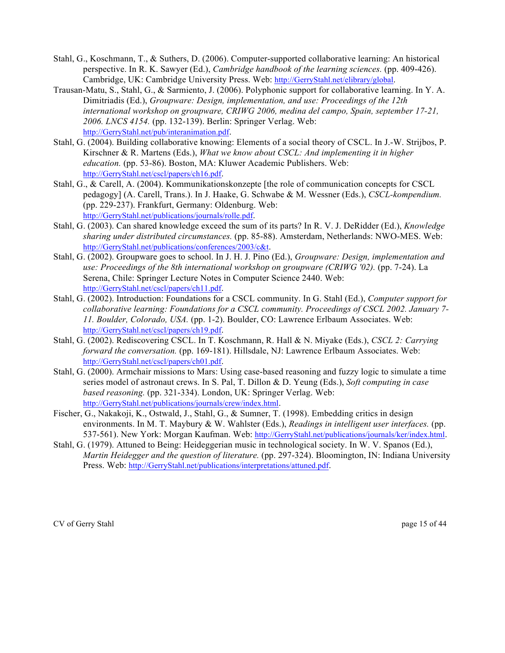- Stahl, G., Koschmann, T., & Suthers, D. (2006). Computer-supported collaborative learning: An historical perspective. In R. K. Sawyer (Ed.), *Cambridge handbook of the learning sciences.* (pp. 409-426). Cambridge, UK: Cambridge University Press. Web: http://GerryStahl.net/elibrary/global.
- Trausan-Matu, S., Stahl, G., & Sarmiento, J. (2006). Polyphonic support for collaborative learning. In Y. A. Dimitriadis (Ed.), *Groupware: Design, implementation, and use: Proceedings of the 12th international workshop on groupware, CRIWG 2006, medina del campo, Spain, september 17-21, 2006. LNCS 4154.* (pp. 132-139). Berlin: Springer Verlag. Web: http://GerryStahl.net/pub/interanimation.pdf.
- Stahl, G. (2004). Building collaborative knowing: Elements of a social theory of CSCL. In J.-W. Strijbos, P. Kirschner & R. Martens (Eds.), *What we know about CSCL: And implementing it in higher education.* (pp. 53-86). Boston, MA: Kluwer Academic Publishers. Web: http://GerryStahl.net/cscl/papers/ch16.pdf.
- Stahl, G., & Carell, A. (2004). Kommunikationskonzepte [the role of communication concepts for CSCL pedagogy] (A. Carell, Trans.). In J. Haake, G. Schwabe & M. Wessner (Eds.), *CSCL-kompendium.* (pp. 229-237). Frankfurt, Germany: Oldenburg. Web: http://GerryStahl.net/publications/journals/rolle.pdf.
- Stahl, G. (2003). Can shared knowledge exceed the sum of its parts? In R. V. J. DeRidder (Ed.), *Knowledge sharing under distributed circumstances.* (pp. 85-88). Amsterdam, Netherlands: NWO-MES. Web: http://GerryStahl.net/publications/conferences/2003/c&t.
- Stahl, G. (2002). Groupware goes to school. In J. H. J. Pino (Ed.), *Groupware: Design, implementation and use: Proceedings of the 8th international workshop on groupware (CRIWG '02).* (pp. 7-24). La Serena, Chile: Springer Lecture Notes in Computer Science 2440. Web: http://GerryStahl.net/cscl/papers/ch11.pdf.
- Stahl, G. (2002). Introduction: Foundations for a CSCL community. In G. Stahl (Ed.), *Computer support for collaborative learning: Foundations for a CSCL community. Proceedings of CSCL 2002. January 7- 11. Boulder, Colorado, USA.* (pp. 1-2). Boulder, CO: Lawrence Erlbaum Associates. Web: http://GerryStahl.net/cscl/papers/ch19.pdf.
- Stahl, G. (2002). Rediscovering CSCL. In T. Koschmann, R. Hall & N. Miyake (Eds.), *CSCL 2: Carrying forward the conversation.* (pp. 169-181). Hillsdale, NJ: Lawrence Erlbaum Associates. Web: http://GerryStahl.net/cscl/papers/ch01.pdf.
- Stahl, G. (2000). Armchair missions to Mars: Using case-based reasoning and fuzzy logic to simulate a time series model of astronaut crews. In S. Pal, T. Dillon & D. Yeung (Eds.), *Soft computing in case based reasoning.* (pp. 321-334). London, UK: Springer Verlag. Web: http://GerryStahl.net/publications/journals/crew/index.html.
- Fischer, G., Nakakoji, K., Ostwald, J., Stahl, G., & Sumner, T. (1998). Embedding critics in design environments. In M. T. Maybury & W. Wahlster (Eds.), *Readings in intelligent user interfaces.* (pp. 537-561). New York: Morgan Kaufman. Web: http://GerryStahl.net/publications/journals/ker/index.html.
- Stahl, G. (1979). Attuned to Being: Heideggerian music in technological society. In W. V. Spanos (Ed.), *Martin Heidegger and the question of literature.* (pp. 297-324). Bloomington, IN: Indiana University Press. Web: http://GerryStahl.net/publications/interpretations/attuned.pdf.

CV of Gerry Stahl page 15 of 44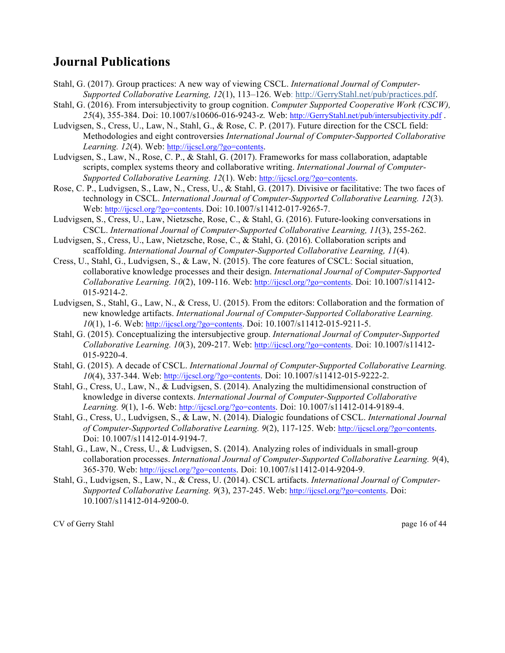#### **Journal Publications**

- Stahl, G. (2017). Group practices: A new way of viewing CSCL. *International Journal of Computer-Supported Collaborative Learning, 12*(1), 113–126. Web: http://GerryStahl.net/pub/practices.pdf.
- Stahl, G. (2016). From intersubjectivity to group cognition. *Computer Supported Cooperative Work (CSCW), 25*(4), 355-384. Doi: 10.1007/s10606-016-9243-z*.* Web: http://GerryStahl.net/pub/intersubjectivity.pdf .
- Ludvigsen, S., Cress, U., Law, N., Stahl, G., & Rose, C. P. (2017). Future direction for the CSCL field: Methodologies and eight controversies *International Journal of Computer-Supported Collaborative Learning. 12*(4). Web: http://ijcscl.org/?go=contents.
- Ludvigsen, S., Law, N., Rose, C. P., & Stahl, G. (2017). Frameworks for mass collaboration, adaptable scripts, complex systems theory and collaborative writing. *International Journal of Computer-Supported Collaborative Learning. 12*(1). Web: http://ijcscl.org/?go=contents.
- Rose, C. P., Ludvigsen, S., Law, N., Cress, U., & Stahl, G. (2017). Divisive or facilitative: The two faces of technology in CSCL. *International Journal of Computer-Supported Collaborative Learning. 12*(3). Web: http://ijcscl.org/?go=contents. Doi: 10.1007/s11412-017-9265-7.
- Ludvigsen, S., Cress, U., Law, Nietzsche, Rose, C., & Stahl, G. (2016). Future-looking conversations in CSCL. *International Journal of Computer-Supported Collaborative Learning, 11*(3), 255-262.
- Ludvigsen, S., Cress, U., Law, Nietzsche, Rose, C., & Stahl, G. (2016). Collaboration scripts and scaffolding. *International Journal of Computer-Supported Collaborative Learning, 11*(4).
- Cress, U., Stahl, G., Ludvigsen, S., & Law, N. (2015). The core features of CSCL: Social situation, collaborative knowledge processes and their design. *International Journal of Computer-Supported Collaborative Learning. 10*(2), 109-116. Web: http://ijcscl.org/?go=contents. Doi: 10.1007/s11412- 015-9214-2.
- Ludvigsen, S., Stahl, G., Law, N., & Cress, U. (2015). From the editors: Collaboration and the formation of new knowledge artifacts. *International Journal of Computer-Supported Collaborative Learning. 10*(1), 1-6. Web: http://ijcscl.org/?go=contents. Doi: 10.1007/s11412-015-9211-5.
- Stahl, G. (2015). Conceptualizing the intersubjective group. *International Journal of Computer-Supported Collaborative Learning. 10*(3), 209-217. Web: http://ijcscl.org/?go=contents. Doi: 10.1007/s11412- 015-9220-4.
- Stahl, G. (2015). A decade of CSCL. *International Journal of Computer-Supported Collaborative Learning. 10*(4), 337-344. Web: http://ijcscl.org/?go=contents. Doi: 10.1007/s11412-015-9222-2.
- Stahl, G., Cress, U., Law, N., & Ludvigsen, S. (2014). Analyzing the multidimensional construction of knowledge in diverse contexts. *International Journal of Computer-Supported Collaborative Learning. 9*(1), 1-6. Web: http://ijcscl.org/?go=contents. Doi: 10.1007/s11412-014-9189-4.
- Stahl, G., Cress, U., Ludvigsen, S., & Law, N. (2014). Dialogic foundations of CSCL. *International Journal of Computer-Supported Collaborative Learning. 9*(2), 117-125. Web: http://ijcscl.org/?go=contents. Doi: 10.1007/s11412-014-9194-7.
- Stahl, G., Law, N., Cress, U., & Ludvigsen, S. (2014). Analyzing roles of individuals in small-group collaboration processes. *International Journal of Computer-Supported Collaborative Learning. 9*(4), 365-370. Web: http://ijcscl.org/?go=contents. Doi: 10.1007/s11412-014-9204-9.
- Stahl, G., Ludvigsen, S., Law, N., & Cress, U. (2014). CSCL artifacts. *International Journal of Computer-Supported Collaborative Learning. 9*(3), 237-245. Web: http://ijcscl.org/?go=contents. Doi: 10.1007/s11412-014-9200-0.

CV of Gerry Stahl page 16 of 44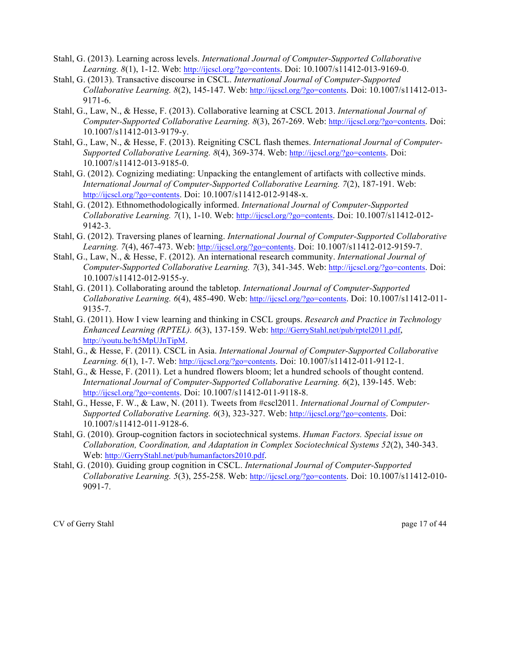- Stahl, G. (2013). Learning across levels. *International Journal of Computer-Supported Collaborative Learning. 8*(1), 1-12. Web: http://ijcscl.org/?go=contents. Doi: 10.1007/s11412-013-9169-0.
- Stahl, G. (2013). Transactive discourse in CSCL. *International Journal of Computer-Supported Collaborative Learning. 8*(2), 145-147. Web: http://ijcscl.org/?go=contents. Doi: 10.1007/s11412-013- 9171-6.
- Stahl, G., Law, N., & Hesse, F. (2013). Collaborative learning at CSCL 2013. *International Journal of Computer-Supported Collaborative Learning. 8*(3), 267-269. Web: http://ijcscl.org/?go=contents. Doi: 10.1007/s11412-013-9179-y.
- Stahl, G., Law, N., & Hesse, F. (2013). Reigniting CSCL flash themes. *International Journal of Computer-Supported Collaborative Learning. 8*(4), 369-374. Web: http://ijcscl.org/?go=contents. Doi: 10.1007/s11412-013-9185-0.
- Stahl, G. (2012). Cognizing mediating: Unpacking the entanglement of artifacts with collective minds. *International Journal of Computer-Supported Collaborative Learning. 7*(2), 187-191. Web: http://ijcscl.org/?go=contents. Doi: 10.1007/s11412-012-9148-x.
- Stahl, G. (2012). Ethnomethodologically informed. *International Journal of Computer-Supported Collaborative Learning. 7*(1), 1-10. Web: http://ijcscl.org/?go=contents. Doi: 10.1007/s11412-012- 9142-3.
- Stahl, G. (2012). Traversing planes of learning. *International Journal of Computer-Supported Collaborative Learning. 7*(4), 467-473. Web: http://ijcscl.org/?go=contents. Doi: 10.1007/s11412-012-9159-7.
- Stahl, G., Law, N., & Hesse, F. (2012). An international research community. *International Journal of Computer-Supported Collaborative Learning. 7*(3), 341-345. Web: http://ijcscl.org/?go=contents. Doi: 10.1007/s11412-012-9155-y.
- Stahl, G. (2011). Collaborating around the tabletop. *International Journal of Computer-Supported Collaborative Learning. 6*(4), 485-490. Web: http://ijcscl.org/?go=contents. Doi: 10.1007/s11412-011- 9135-7.
- Stahl, G. (2011). How I view learning and thinking in CSCL groups. *Research and Practice in Technology Enhanced Learning (RPTEL). 6*(3), 137-159. Web: http://GerryStahl.net/pub/rptel2011.pdf, http://youtu.be/h5MpUJnTipM.
- Stahl, G., & Hesse, F. (2011). CSCL in Asia. *International Journal of Computer-Supported Collaborative Learning. 6*(1), 1-7. Web: http://ijcscl.org/?go=contents. Doi: 10.1007/s11412-011-9112-1.
- Stahl, G., & Hesse, F. (2011). Let a hundred flowers bloom; let a hundred schools of thought contend. *International Journal of Computer-Supported Collaborative Learning. 6*(2), 139-145. Web: http://ijcscl.org/?go=contents. Doi: 10.1007/s11412-011-9118-8.
- Stahl, G., Hesse, F. W., & Law, N. (2011). Tweets from #cscl2011. *International Journal of Computer-Supported Collaborative Learning. 6*(3), 323-327. Web: http://ijcscl.org/?go=contents. Doi: 10.1007/s11412-011-9128-6.
- Stahl, G. (2010). Group-cognition factors in sociotechnical systems. *Human Factors. Special issue on Collaboration, Coordination, and Adaptation in Complex Sociotechnical Systems 52*(2), 340-343. Web: http://GerryStahl.net/pub/humanfactors2010.pdf.
- Stahl, G. (2010). Guiding group cognition in CSCL. *International Journal of Computer-Supported Collaborative Learning. 5*(3), 255-258. Web: http://ijcscl.org/?go=contents. Doi: 10.1007/s11412-010- 9091-7.

CV of Gerry Stahl page 17 of 44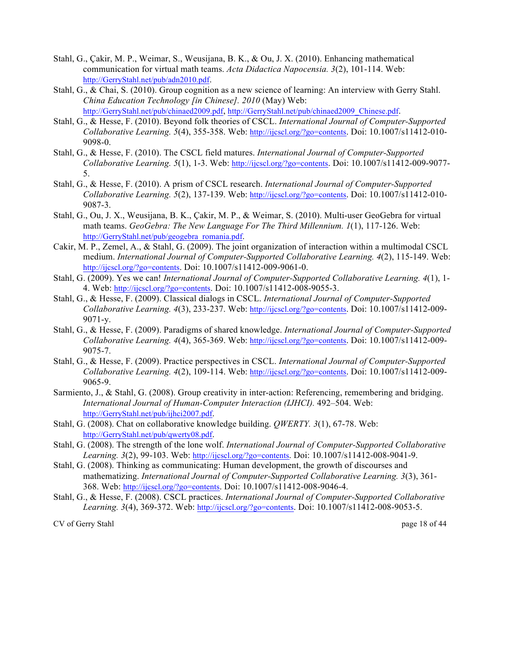- Stahl, G., Çakir, M. P., Weimar, S., Weusijana, B. K., & Ou, J. X. (2010). Enhancing mathematical communication for virtual math teams. *Acta Didactica Napocensia. 3*(2), 101-114. Web: http://GerryStahl.net/pub/adn2010.pdf.
- Stahl, G., & Chai, S. (2010). Group cognition as a new science of learning: An interview with Gerry Stahl. *China Education Technology [in Chinese]. 2010* (May) Web: http://GerryStahl.net/pub/chinaed2009.pdf, http://GerryStahl.net/pub/chinaed2009\_Chinese.pdf.
- Stahl, G., & Hesse, F. (2010). Beyond folk theories of CSCL. *International Journal of Computer-Supported Collaborative Learning. 5*(4), 355-358. Web: http://ijcscl.org/?go=contents. Doi: 10.1007/s11412-010- 9098-0.
- Stahl, G., & Hesse, F. (2010). The CSCL field matures. *International Journal of Computer-Supported Collaborative Learning. 5*(1), 1-3. Web: http://ijcscl.org/?go=contents. Doi: 10.1007/s11412-009-9077- 5.
- Stahl, G., & Hesse, F. (2010). A prism of CSCL research. *International Journal of Computer-Supported Collaborative Learning. 5*(2), 137-139. Web: http://ijcscl.org/?go=contents. Doi: 10.1007/s11412-010- 9087-3.
- Stahl, G., Ou, J. X., Weusijana, B. K., Çakir, M. P., & Weimar, S. (2010). Multi-user GeoGebra for virtual math teams. *GeoGebra: The New Language For The Third Millennium. 1*(1), 117-126. Web: http://GerryStahl.net/pub/geogebra\_romania.pdf.
- Cakir, M. P., Zemel, A., & Stahl, G. (2009). The joint organization of interaction within a multimodal CSCL medium. *International Journal of Computer-Supported Collaborative Learning. 4*(2), 115-149. Web: http://ijcscl.org/?go=contents. Doi: 10.1007/s11412-009-9061-0.
- Stahl, G. (2009). Yes we can! *International Journal of Computer-Supported Collaborative Learning. 4*(1), 1- 4. Web: http://ijcscl.org/?go=contents. Doi: 10.1007/s11412-008-9055-3.
- Stahl, G., & Hesse, F. (2009). Classical dialogs in CSCL. *International Journal of Computer-Supported Collaborative Learning. 4*(3), 233-237. Web: http://ijcscl.org/?go=contents. Doi: 10.1007/s11412-009- 9071-y.
- Stahl, G., & Hesse, F. (2009). Paradigms of shared knowledge. *International Journal of Computer-Supported Collaborative Learning. 4*(4), 365-369. Web: http://ijcscl.org/?go=contents. Doi: 10.1007/s11412-009- 9075-7.
- Stahl, G., & Hesse, F. (2009). Practice perspectives in CSCL. *International Journal of Computer-Supported Collaborative Learning. 4*(2), 109-114. Web: http://ijcscl.org/?go=contents. Doi: 10.1007/s11412-009- 9065-9.
- Sarmiento, J., & Stahl, G. (2008). Group creativity in inter-action: Referencing, remembering and bridging. *International Journal of Human-Computer Interaction (IJHCI).* 492–504. Web: http://GerryStahl.net/pub/ijhci2007.pdf.
- Stahl, G. (2008). Chat on collaborative knowledge building. *QWERTY. 3*(1), 67-78. Web: http://GerryStahl.net/pub/qwerty08.pdf.
- Stahl, G. (2008). The strength of the lone wolf. *International Journal of Computer-Supported Collaborative Learning. 3*(2), 99-103. Web: http://ijcscl.org/?go=contents. Doi: 10.1007/s11412-008-9041-9.
- Stahl, G. (2008). Thinking as communicating: Human development, the growth of discourses and mathematizing. *International Journal of Computer-Supported Collaborative Learning. 3*(3), 361- 368. Web: http://ijcscl.org/?go=contents. Doi: 10.1007/s11412-008-9046-4.
- Stahl, G., & Hesse, F. (2008). CSCL practices. *International Journal of Computer-Supported Collaborative Learning. 3*(4), 369-372. Web: http://ijcscl.org/?go=contents. Doi: 10.1007/s11412-008-9053-5.

CV of Gerry Stahl page 18 of 44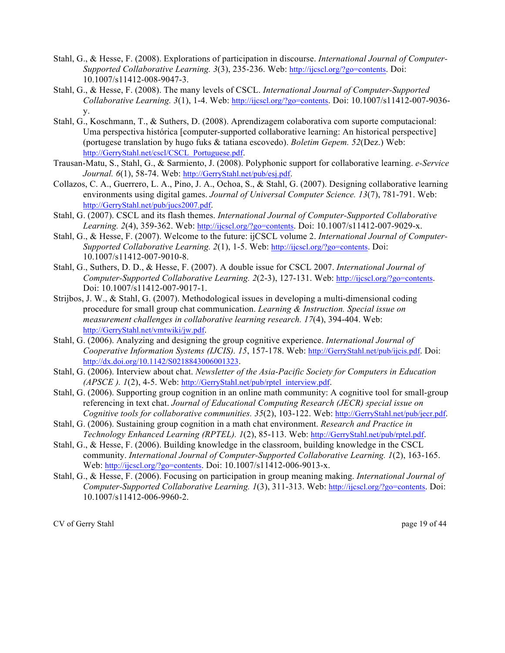- Stahl, G., & Hesse, F. (2008). Explorations of participation in discourse. *International Journal of Computer-Supported Collaborative Learning. 3*(3), 235-236. Web: http://ijcscl.org/?go=contents. Doi: 10.1007/s11412-008-9047-3.
- Stahl, G., & Hesse, F. (2008). The many levels of CSCL. *International Journal of Computer-Supported Collaborative Learning. 3*(1), 1-4. Web: http://ijcscl.org/?go=contents. Doi: 10.1007/s11412-007-9036 y.
- Stahl, G., Koschmann, T., & Suthers, D. (2008). Aprendizagem colaborativa com suporte computacional: Uma perspectiva histórica [computer-supported collaborative learning: An historical perspective] (portugese translation by hugo fuks & tatiana escovedo). *Boletim Gepem. 52*(Dez.) Web: http://GerryStahl.net/cscl/CSCL\_Portuguese.pdf.
- Trausan-Matu, S., Stahl, G., & Sarmiento, J. (2008). Polyphonic support for collaborative learning. *e-Service Journal. 6*(1), 58-74. Web: http://GerryStahl.net/pub/esj.pdf.
- Collazos, C. A., Guerrero, L. A., Pino, J. A., Ochoa, S., & Stahl, G. (2007). Designing collaborative learning environments using digital games. *Journal of Universal Computer Science. 13*(7), 781-791. Web: http://GerryStahl.net/pub/jucs2007.pdf.
- Stahl, G. (2007). CSCL and its flash themes. *International Journal of Computer-Supported Collaborative Learning. 2*(4), 359-362. Web: http://ijcscl.org/?go=contents. Doi: 10.1007/s11412-007-9029-x.
- Stahl, G., & Hesse, F. (2007). Welcome to the future: ijCSCL volume 2. *International Journal of Computer-Supported Collaborative Learning. 2*(1), 1-5. Web: http://ijcscl.org/?go=contents. Doi: 10.1007/s11412-007-9010-8.
- Stahl, G., Suthers, D. D., & Hesse, F. (2007). A double issue for CSCL 2007. *International Journal of Computer-Supported Collaborative Learning. 2*(2-3), 127-131. Web: http://ijcscl.org/?go=contents. Doi: 10.1007/s11412-007-9017-1.
- Strijbos, J. W., & Stahl, G. (2007). Methodological issues in developing a multi-dimensional coding procedure for small group chat communication. *Learning & Instruction. Special issue on measurement challenges in collaborative learning research. 17*(4), 394-404. Web: http://GerryStahl.net/vmtwiki/jw.pdf.
- Stahl, G. (2006). Analyzing and designing the group cognitive experience. *International Journal of Cooperative Information Systems (IJCIS). 15*, 157-178. Web: http://GerryStahl.net/pub/ijcis.pdf. Doi: http://dx.doi.org/10.1142/S0218843006001323.
- Stahl, G. (2006). Interview about chat. *Newsletter of the Asia-Pacific Society for Computers in Education (APSCE ). 1*(2), 4-5. Web: http://GerryStahl.net/pub/rptel\_interview.pdf.
- Stahl, G. (2006). Supporting group cognition in an online math community: A cognitive tool for small-group referencing in text chat. *Journal of Educational Computing Research (JECR) special issue on Cognitive tools for collaborative communities. 35*(2), 103-122. Web: http://GerryStahl.net/pub/jecr.pdf.
- Stahl, G. (2006). Sustaining group cognition in a math chat environment. *Research and Practice in Technology Enhanced Learning (RPTEL). 1*(2), 85-113. Web: http://GerryStahl.net/pub/rptel.pdf.
- Stahl, G., & Hesse, F. (2006). Building knowledge in the classroom, building knowledge in the CSCL community. *International Journal of Computer-Supported Collaborative Learning. 1*(2), 163-165. Web: http://ijcscl.org/?go=contents. Doi: 10.1007/s11412-006-9013-x.
- Stahl, G., & Hesse, F. (2006). Focusing on participation in group meaning making. *International Journal of Computer-Supported Collaborative Learning. 1*(3), 311-313. Web: http://ijcscl.org/?go=contents. Doi: 10.1007/s11412-006-9960-2.

CV of Gerry Stahl page 19 of 44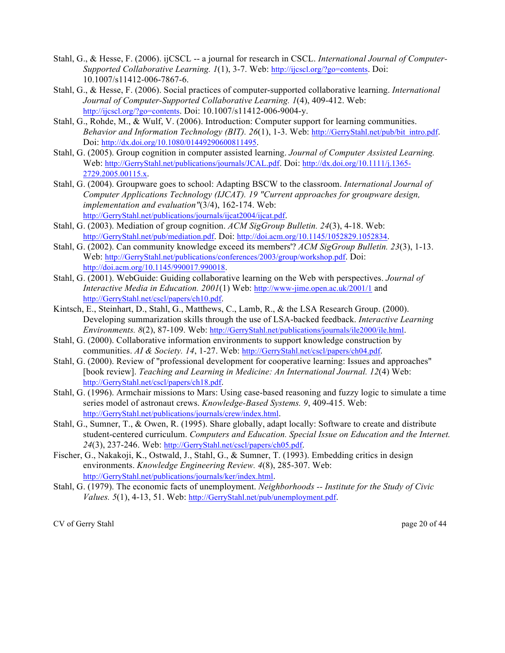- Stahl, G., & Hesse, F. (2006). ijCSCL -- a journal for research in CSCL. *International Journal of Computer-Supported Collaborative Learning. 1*(1), 3-7. Web: http://ijcscl.org/?go=contents. Doi: 10.1007/s11412-006-7867-6.
- Stahl, G., & Hesse, F. (2006). Social practices of computer-supported collaborative learning. *International Journal of Computer-Supported Collaborative Learning. 1*(4), 409-412. Web: http://ijcscl.org/?go=contents. Doi: 10.1007/s11412-006-9004-y.
- Stahl, G., Rohde, M., & Wulf, V. (2006). Introduction: Computer support for learning communities. *Behavior and Information Technology (BIT). 26*(1), 1-3. Web: http://GerryStahl.net/pub/bit\_intro.pdf. Doi: http://dx.doi.org/10.1080/01449290600811495.
- Stahl, G. (2005). Group cognition in computer assisted learning. *Journal of Computer Assisted Learning.* Web: http://GerryStahl.net/publications/journals/JCAL.pdf. Doi: http://dx.doi.org/10.1111/j.1365- 2729.2005.00115.x.
- Stahl, G. (2004). Groupware goes to school: Adapting BSCW to the classroom. *International Journal of Computer Applications Technology (IJCAT). 19 "Current approaches for groupware design, implementation and evaluation"*(3/4), 162-174. Web: http://GerryStahl.net/publications/journals/ijcat2004/jicat.pdf.
- Stahl, G. (2003). Mediation of group cognition. *ACM SigGroup Bulletin. 24*(3), 4-18. Web: http://GerryStahl.net/pub/mediation.pdf. Doi: http://doi.acm.org/10.1145/1052829.1052834.
- Stahl, G. (2002). Can community knowledge exceed its members'? *ACM SigGroup Bulletin. 23*(3), 1-13. Web: http://GerryStahl.net/publications/conferences/2003/group/workshop.pdf. Doi: http://doi.acm.org/10.1145/990017.990018.
- Stahl, G. (2001). WebGuide: Guiding collaborative learning on the Web with perspectives. *Journal of Interactive Media in Education. 2001*(1) Web: http://www-jime.open.ac.uk/2001/1 and http://GerryStahl.net/cscl/papers/ch10.pdf.
- Kintsch, E., Steinhart, D., Stahl, G., Matthews, C., Lamb, R., & the LSA Research Group. (2000). Developing summarization skills through the use of LSA-backed feedback. *Interactive Learning Environments. 8*(2), 87-109. Web: http://GerryStahl.net/publications/journals/ile2000/ile.html.
- Stahl, G. (2000). Collaborative information environments to support knowledge construction by communities. *AI & Society. 14*, 1-27. Web: http://GerryStahl.net/cscl/papers/ch04.pdf.
- Stahl, G. (2000). Review of "professional development for cooperative learning: Issues and approaches" [book review]. *Teaching and Learning in Medicine: An International Journal. 12*(4) Web: http://GerryStahl.net/cscl/papers/ch18.pdf.
- Stahl, G. (1996). Armchair missions to Mars: Using case-based reasoning and fuzzy logic to simulate a time series model of astronaut crews. *Knowledge-Based Systems. 9*, 409-415. Web: http://GerryStahl.net/publications/journals/crew/index.html.
- Stahl, G., Sumner, T., & Owen, R. (1995). Share globally, adapt locally: Software to create and distribute student-centered curriculum. *Computers and Education. Special Issue on Education and the Internet. 24*(3), 237-246. Web: http://GerryStahl.net/cscl/papers/ch05.pdf.
- Fischer, G., Nakakoji, K., Ostwald, J., Stahl, G., & Sumner, T. (1993). Embedding critics in design environments. *Knowledge Engineering Review. 4*(8), 285-307. Web: http://GerryStahl.net/publications/journals/ker/index.html.
- Stahl, G. (1979). The economic facts of unemployment. *Neighborhoods -- Institute for the Study of Civic Values. 5*(1), 4-13, 51. Web: http://GerryStahl.net/pub/unemployment.pdf.

CV of Gerry Stahl page 20 of 44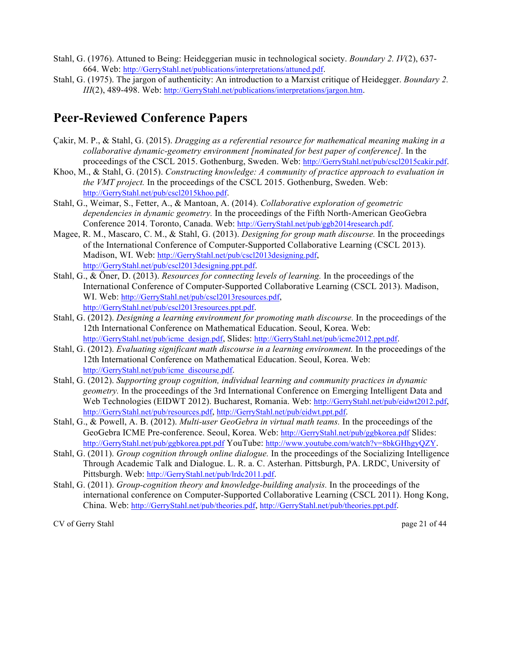- Stahl, G. (1976). Attuned to Being: Heideggerian music in technological society. *Boundary 2. IV*(2), 637- 664. Web: http://GerryStahl.net/publications/interpretations/attuned.pdf.
- Stahl, G. (1975). The jargon of authenticity: An introduction to a Marxist critique of Heidegger. *Boundary 2. III*(2), 489-498. Web: http://GerryStahl.net/publications/interpretations/jargon.htm.

#### **Peer-Reviewed Conference Papers**

- Çakir, M. P., & Stahl, G. (2015). *Dragging as a referential resource for mathematical meaning making in a collaborative dynamic-geometry environment [nominated for best paper of conference].* In the proceedings of the CSCL 2015. Gothenburg, Sweden. Web: http://GerryStahl.net/pub/cscl2015cakir.pdf.
- Khoo, M., & Stahl, G. (2015). *Constructing knowledge: A community of practice approach to evaluation in the VMT project.* In the proceedings of the CSCL 2015. Gothenburg, Sweden. Web: http://GerryStahl.net/pub/cscl2015khoo.pdf.
- Stahl, G., Weimar, S., Fetter, A., & Mantoan, A. (2014). *Collaborative exploration of geometric dependencies in dynamic geometry.* In the proceedings of the Fifth North-American GeoGebra Conference 2014. Toronto, Canada. Web: http://GerryStahl.net/pub/ggb2014research.pdf.
- Magee, R. M., Mascaro, C. M., & Stahl, G. (2013). *Designing for group math discourse.* In the proceedings of the International Conference of Computer-Supported Collaborative Learning (CSCL 2013). Madison, WI. Web: http://GerryStahl.net/pub/cscl2013designing.pdf, http://GerryStahl.net/pub/cscl2013designing.ppt.pdf.
- Stahl, G., & Öner, D. (2013). *Resources for connecting levels of learning.* In the proceedings of the International Conference of Computer-Supported Collaborative Learning (CSCL 2013). Madison, WI. Web: http://GerryStahl.net/pub/cscl2013resources.pdf, http://GerryStahl.net/pub/cscl2013resources.ppt.pdf.
- Stahl, G. (2012). *Designing a learning environment for promoting math discourse.* In the proceedings of the 12th International Conference on Mathematical Education. Seoul, Korea. Web: http://GerryStahl.net/pub/icme\_design.pdf, Slides: http://GerryStahl.net/pub/icme2012.ppt.pdf.
- Stahl, G. (2012). *Evaluating significant math discourse in a learning environment.* In the proceedings of the 12th International Conference on Mathematical Education. Seoul, Korea. Web: http://GerryStahl.net/pub/icme\_discourse.pdf.
- Stahl, G. (2012). *Supporting group cognition, individual learning and community practices in dynamic geometry.* In the proceedings of the 3rd International Conference on Emerging Intelligent Data and Web Technologies (EIDWT 2012). Bucharest, Romania. Web: http://GerryStahl.net/pub/eidwt2012.pdf, http://GerryStahl.net/pub/resources.pdf, http://GerryStahl.net/pub/eidwt.ppt.pdf.
- Stahl, G., & Powell, A. B. (2012). *Multi-user GeoGebra in virtual math teams.* In the proceedings of the GeoGebra ICME Pre-conference. Seoul, Korea. Web: http://GerryStahl.net/pub/ggbkorea.pdf Slides: http://GerryStahl.net/pub/ggbkorea.ppt.pdf YouTube: http://www.youtube.com/watch?v=8bkGHhgyQZY.
- Stahl, G. (2011). *Group cognition through online dialogue.* In the proceedings of the Socializing Intelligence Through Academic Talk and Dialogue. L. R. a. C. Asterhan. Pittsburgh, PA. LRDC, University of Pittsburgh. Web: http://GerryStahl.net/pub/lrdc2011.pdf.
- Stahl, G. (2011). *Group-cognition theory and knowledge-building analysis.* In the proceedings of the international conference on Computer-Supported Collaborative Learning (CSCL 2011). Hong Kong, China. Web: http://GerryStahl.net/pub/theories.pdf, http://GerryStahl.net/pub/theories.ppt.pdf.

CV of Gerry Stahl page 21 of 44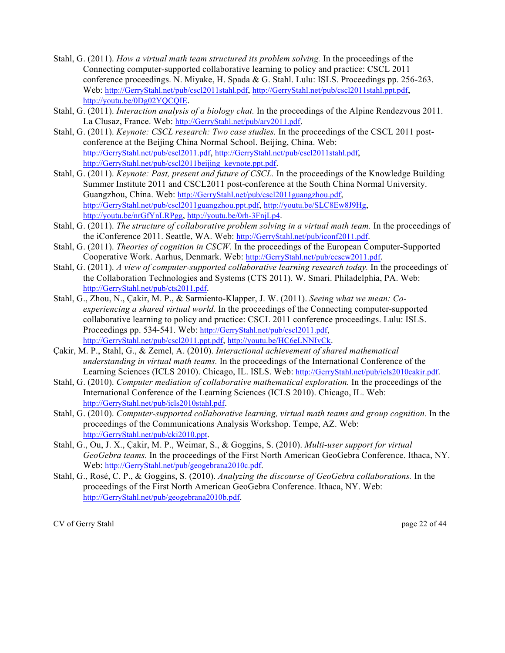- Stahl, G. (2011). *How a virtual math team structured its problem solving.* In the proceedings of the Connecting computer-supported collaborative learning to policy and practice: CSCL 2011 conference proceedings. N. Miyake, H. Spada & G. Stahl. Lulu: ISLS. Proceedings pp. 256-263. Web: http://GerryStahl.net/pub/cscl2011stahl.pdf, http://GerryStahl.net/pub/cscl2011stahl.ppt.pdf, http://youtu.be/0Dg02YQCQIE.
- Stahl, G. (2011). *Interaction analysis of a biology chat.* In the proceedings of the Alpine Rendezvous 2011. La Clusaz, France. Web: http://GerryStahl.net/pub/arv2011.pdf.
- Stahl, G. (2011). *Keynote: CSCL research: Two case studies.* In the proceedings of the CSCL 2011 postconference at the Beijing China Normal School. Beijing, China. Web: http://GerryStahl.net/pub/cscl2011.pdf, http://GerryStahl.net/pub/cscl2011stahl.pdf, http://GerryStahl.net/pub/cscl2011beijing\_keynote.ppt.pdf.
- Stahl, G. (2011). *Keynote: Past, present and future of CSCL.* In the proceedings of the Knowledge Building Summer Institute 2011 and CSCL2011 post-conference at the South China Normal University. Guangzhou, China. Web: http://GerryStahl.net/pub/cscl2011guangzhou.pdf, http://GerryStahl.net/pub/cscl2011guangzhou.ppt.pdf, http://youtu.be/SLC8Ew8J9Hg, http://youtu.be/nrGfYnLRPgg, http://youtu.be/0rh-3FnjLp4.
- Stahl, G. (2011). *The structure of collaborative problem solving in a virtual math team.* In the proceedings of the iConference 2011. Seattle, WA. Web: http://GerryStahl.net/pub/iconf2011.pdf.
- Stahl, G. (2011). *Theories of cognition in CSCW.* In the proceedings of the European Computer-Supported Cooperative Work. Aarhus, Denmark. Web: http://GerryStahl.net/pub/ecscw2011.pdf.
- Stahl, G. (2011). *A view of computer-supported collaborative learning research today.* In the proceedings of the Collaboration Technologies and Systems (CTS 2011). W. Smari. Philadelphia, PA. Web: http://GerryStahl.net/pub/cts2011.pdf.
- Stahl, G., Zhou, N., Çakir, M. P., & Sarmiento-Klapper, J. W. (2011). *Seeing what we mean: Coexperiencing a shared virtual world.* In the proceedings of the Connecting computer-supported collaborative learning to policy and practice: CSCL 2011 conference proceedings. Lulu: ISLS. Proceedings pp. 534-541. Web: http://GerryStahl.net/pub/cscl2011.pdf, http://GerryStahl.net/pub/cscl2011.ppt.pdf, http://youtu.be/HC6eLNNIvCk.
- Çakir, M. P., Stahl, G., & Zemel, A. (2010). *Interactional achievement of shared mathematical understanding in virtual math teams.* In the proceedings of the International Conference of the Learning Sciences (ICLS 2010). Chicago, IL. ISLS. Web: http://GerryStahl.net/pub/icls2010cakir.pdf.
- Stahl, G. (2010). *Computer mediation of collaborative mathematical exploration.* In the proceedings of the International Conference of the Learning Sciences (ICLS 2010). Chicago, IL. Web: http://GerryStahl.net/pub/icls2010stahl.pdf.
- Stahl, G. (2010). *Computer-supported collaborative learning, virtual math teams and group cognition.* In the proceedings of the Communications Analysis Workshop. Tempe, AZ. Web: http://GerryStahl.net/pub/cki2010.ppt.
- Stahl, G., Ou, J. X., Çakir, M. P., Weimar, S., & Goggins, S. (2010). *Multi-user support for virtual GeoGebra teams.* In the proceedings of the First North American GeoGebra Conference. Ithaca, NY. Web: http://GerryStahl.net/pub/geogebrana2010c.pdf.
- Stahl, G., Rosé, C. P., & Goggins, S. (2010). *Analyzing the discourse of GeoGebra collaborations.* In the proceedings of the First North American GeoGebra Conference. Ithaca, NY. Web: http://GerryStahl.net/pub/geogebrana2010b.pdf.

CV of Gerry Stahl page 22 of 44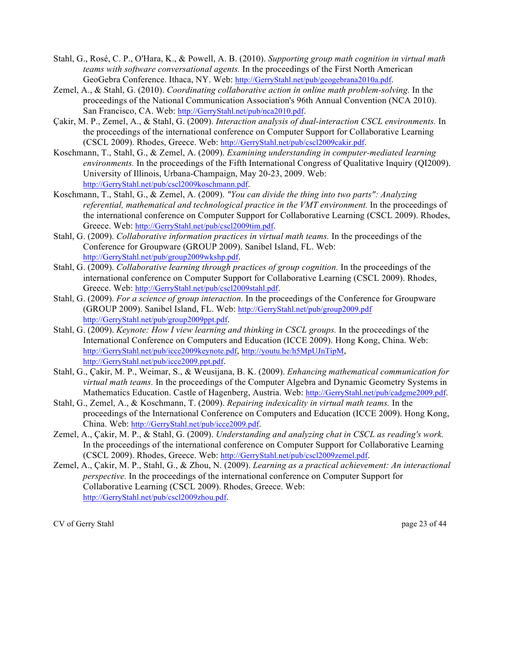- Stahl, G., Rosé, C. P., O'Hara, K., & Powell, A. B. (2010). *Supporting group math cognition in virtual math teams with software conversational agents.* In the proceedings of the First North American GeoGebra Conference. Ithaca, NY. Web: http://GerryStahl.net/pub/geogebrana2010a.pdf.
- Zemel, A., & Stahl, G. (2010). *Coordinating collaborative action in online math problem-solving.* In the proceedings of the National Communication Association's 96th Annual Convention (NCA 2010). San Francisco, CA. Web: http://GerryStahl.net/pub/nca2010.pdf.
- Çakir, M. P., Zemel, A., & Stahl, G. (2009). *Interaction analysis of dual-interaction CSCL environments.* In the proceedings of the international conference on Computer Support for Collaborative Learning (CSCL 2009). Rhodes, Greece. Web: http://GerryStahl.net/pub/cscl2009cakir.pdf.
- Koschmann, T., Stahl, G., & Zemel, A. (2009). *Examining understanding in computer-mediated learning environments.* In the proceedings of the Fifth International Congress of Qualitative Inquiry (QI2009). University of Illinois, Urbana-Champaign, May 20-23, 2009. Web: http://GerryStahl.net/pub/cscl2009koschmann.pdf.
- Koschmann, T., Stahl, G., & Zemel, A. (2009). *"You can divide the thing into two parts": Analyzing referential, mathematical and technological practice in the VMT environment.* In the proceedings of the international conference on Computer Support for Collaborative Learning (CSCL 2009). Rhodes, Greece. Web: http://GerryStahl.net/pub/cscl2009tim.pdf.
- Stahl, G. (2009). *Collaborative information practices in virtual math teams.* In the proceedings of the Conference for Groupware (GROUP 2009). Sanibel Island, FL. Web: http://GerryStahl.net/pub/group2009wkshp.pdf.
- Stahl, G. (2009). *Collaborative learning through practices of group cognition.* In the proceedings of the international conference on Computer Support for Collaborative Learning (CSCL 2009). Rhodes, Greece. Web: http://GerryStahl.net/pub/cscl2009stahl.pdf.
- Stahl, G. (2009). *For a science of group interaction.* In the proceedings of the Conference for Groupware (GROUP 2009). Sanibel Island, FL. Web: http://GerryStahl.net/pub/group2009.pdf http://GerryStahl.net/pub/group2009ppt.pdf.
- Stahl, G. (2009). *Keynote: How I view learning and thinking in CSCL groups.* In the proceedings of the International Conference on Computers and Education (ICCE 2009). Hong Kong, China. Web: http://GerryStahl.net/pub/icce2009keynote.pdf, http://youtu.be/h5MpUJnTipM, http://GerryStahl.net/pub/icce2009.ppt.pdf.
- Stahl, G., Çakir, M. P., Weimar, S., & Weusijana, B. K. (2009). *Enhancing mathematical communication for virtual math teams.* In the proceedings of the Computer Algebra and Dynamic Geometry Systems in Mathematics Education. Castle of Hagenberg, Austria. Web: http://GerryStahl.net/pub/cadgme2009.pdf.
- Stahl, G., Zemel, A., & Koschmann, T. (2009). *Repairing indexicality in virtual math teams.* In the proceedings of the International Conference on Computers and Education (ICCE 2009). Hong Kong, China. Web: http://GerryStahl.net/pub/icce2009.pdf.
- Zemel, A., Çakir, M. P., & Stahl, G. (2009). *Understanding and analyzing chat in CSCL as reading's work.* In the proceedings of the international conference on Computer Support for Collaborative Learning (CSCL 2009). Rhodes, Greece. Web: http://GerryStahl.net/pub/cscl2009zemel.pdf.
- Zemel, A., Çakir, M. P., Stahl, G., & Zhou, N. (2009). *Learning as a practical achievement: An interactional perspective.* In the proceedings of the international conference on Computer Support for Collaborative Learning (CSCL 2009). Rhodes, Greece. Web: http://GerryStahl.net/pub/cscl2009zhou.pdf.

CV of Gerry Stahl page 23 of 44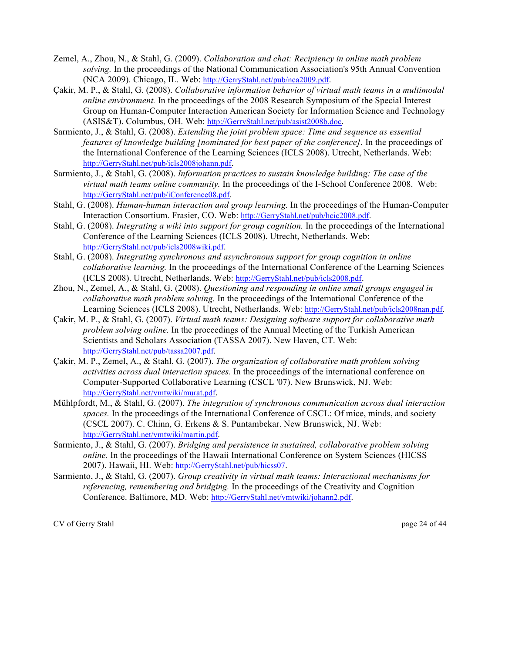- Zemel, A., Zhou, N., & Stahl, G. (2009). *Collaboration and chat: Recipiency in online math problem solving.* In the proceedings of the National Communication Association's 95th Annual Convention (NCA 2009). Chicago, IL. Web: http://GerryStahl.net/pub/nca2009.pdf.
- Çakir, M. P., & Stahl, G. (2008). *Collaborative information behavior of virtual math teams in a multimodal online environment.* In the proceedings of the 2008 Research Symposium of the Special Interest Group on Human-Computer Interaction American Society for Information Science and Technology (ASIS&T). Columbus, OH. Web: http://GerryStahl.net/pub/asist2008b.doc.
- Sarmiento, J., & Stahl, G. (2008). *Extending the joint problem space: Time and sequence as essential features of knowledge building [nominated for best paper of the conference].* In the proceedings of the International Conference of the Learning Sciences (ICLS 2008). Utrecht, Netherlands. Web: http://GerryStahl.net/pub/icls2008johann.pdf.
- Sarmiento, J., & Stahl, G. (2008). *Information practices to sustain knowledge building: The case of the virtual math teams online community.* In the proceedings of the I-School Conference 2008. Web: http://GerryStahl.net/pub/iConference08.pdf.
- Stahl, G. (2008). *Human-human interaction and group learning.* In the proceedings of the Human-Computer Interaction Consortium. Frasier, CO. Web: http://GerryStahl.net/pub/hcic2008.pdf.
- Stahl, G. (2008). *Integrating a wiki into support for group cognition.* In the proceedings of the International Conference of the Learning Sciences (ICLS 2008). Utrecht, Netherlands. Web: http://GerryStahl.net/pub/icls2008wiki.pdf.
- Stahl, G. (2008). *Integrating synchronous and asynchronous support for group cognition in online collaborative learning.* In the proceedings of the International Conference of the Learning Sciences (ICLS 2008). Utrecht, Netherlands. Web: http://GerryStahl.net/pub/icls2008.pdf.
- Zhou, N., Zemel, A., & Stahl, G. (2008). *Questioning and responding in online small groups engaged in collaborative math problem solving.* In the proceedings of the International Conference of the Learning Sciences (ICLS 2008). Utrecht, Netherlands. Web: http://GerryStahl.net/pub/icls2008nan.pdf.
- Çakir, M. P., & Stahl, G. (2007). *Virtual math teams: Designing software support for collaborative math problem solving online.* In the proceedings of the Annual Meeting of the Turkish American Scientists and Scholars Association (TASSA 2007). New Haven, CT. Web: http://GerryStahl.net/pub/tassa2007.pdf.
- Çakir, M. P., Zemel, A., & Stahl, G. (2007). *The organization of collaborative math problem solving activities across dual interaction spaces.* In the proceedings of the international conference on Computer-Supported Collaborative Learning (CSCL '07). New Brunswick, NJ. Web: http://GerryStahl.net/vmtwiki/murat.pdf.
- Mühlpfordt, M., & Stahl, G. (2007). *The integration of synchronous communication across dual interaction*  spaces. In the proceedings of the International Conference of CSCL: Of mice, minds, and society (CSCL 2007). C. Chinn, G. Erkens & S. Puntambekar. New Brunswick, NJ. Web: http://GerryStahl.net/vmtwiki/martin.pdf.
- Sarmiento, J., & Stahl, G. (2007). *Bridging and persistence in sustained, collaborative problem solving online*. In the proceedings of the Hawaii International Conference on System Sciences (HICSS) 2007). Hawaii, HI. Web: http://GerryStahl.net/pub/hicss07.
- Sarmiento, J., & Stahl, G. (2007). *Group creativity in virtual math teams: Interactional mechanisms for referencing, remembering and bridging.* In the proceedings of the Creativity and Cognition Conference. Baltimore, MD. Web: http://GerryStahl.net/vmtwiki/johann2.pdf.

CV of Gerry Stahl page 24 of 44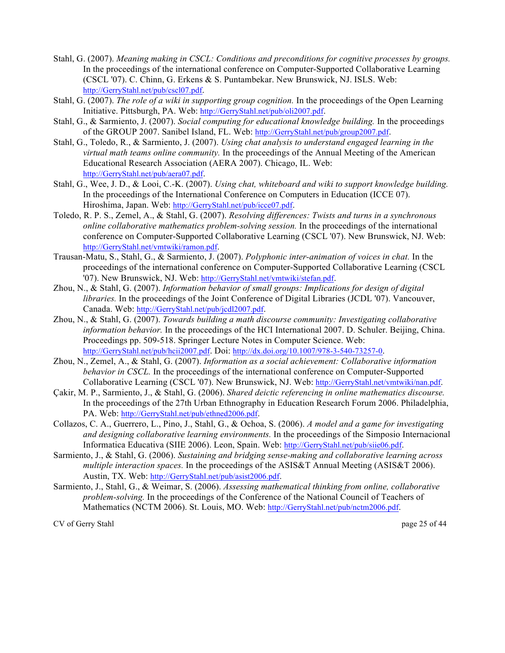- Stahl, G. (2007). *Meaning making in CSCL: Conditions and preconditions for cognitive processes by groups.* In the proceedings of the international conference on Computer-Supported Collaborative Learning (CSCL '07). C. Chinn, G. Erkens & S. Puntambekar. New Brunswick, NJ. ISLS. Web: http://GerryStahl.net/pub/cscl07.pdf.
- Stahl, G. (2007). *The role of a wiki in supporting group cognition.* In the proceedings of the Open Learning Initiative. Pittsburgh, PA. Web: http://GerryStahl.net/pub/oli2007.pdf.
- Stahl, G., & Sarmiento, J. (2007). *Social computing for educational knowledge building.* In the proceedings of the GROUP 2007. Sanibel Island, FL. Web: http://GerryStahl.net/pub/group2007.pdf.
- Stahl, G., Toledo, R., & Sarmiento, J. (2007). *Using chat analysis to understand engaged learning in the virtual math teams online community.* In the proceedings of the Annual Meeting of the American Educational Research Association (AERA 2007). Chicago, IL. Web: http://GerryStahl.net/pub/aera07.pdf.
- Stahl, G., Wee, J. D., & Looi, C.-K. (2007). *Using chat, whiteboard and wiki to support knowledge building.* In the proceedings of the International Conference on Computers in Education (ICCE 07). Hiroshima, Japan. Web: http://GerryStahl.net/pub/icce07.pdf.
- Toledo, R. P. S., Zemel, A., & Stahl, G. (2007). *Resolving differences: Twists and turns in a synchronous online collaborative mathematics problem-solving session.* In the proceedings of the international conference on Computer-Supported Collaborative Learning (CSCL '07). New Brunswick, NJ. Web: http://GerryStahl.net/vmtwiki/ramon.pdf.
- Trausan-Matu, S., Stahl, G., & Sarmiento, J. (2007). *Polyphonic inter-animation of voices in chat.* In the proceedings of the international conference on Computer-Supported Collaborative Learning (CSCL '07). New Brunswick, NJ. Web: http://GerryStahl.net/vmtwiki/stefan.pdf.
- Zhou, N., & Stahl, G. (2007). *Information behavior of small groups: Implications for design of digital libraries.* In the proceedings of the Joint Conference of Digital Libraries (JCDL '07). Vancouver, Canada. Web: http://GerryStahl.net/pub/jcdl2007.pdf.
- Zhou, N., & Stahl, G. (2007). *Towards building a math discourse community: Investigating collaborative information behavior.* In the proceedings of the HCI International 2007. D. Schuler. Beijing, China. Proceedings pp. 509-518. Springer Lecture Notes in Computer Science. Web: http://GerryStahl.net/pub/hcii2007.pdf. Doi: http://dx.doi.org/10.1007/978-3-540-73257-0.
- Zhou, N., Zemel, A., & Stahl, G. (2007). *Information as a social achievement: Collaborative information behavior in CSCL.* In the proceedings of the international conference on Computer-Supported Collaborative Learning (CSCL '07). New Brunswick, NJ. Web: http://GerryStahl.net/vmtwiki/nan.pdf.
- Çakir, M. P., Sarmiento, J., & Stahl, G. (2006). *Shared deictic referencing in online mathematics discourse.* In the proceedings of the 27th Urban Ethnography in Education Research Forum 2006. Philadelphia, PA. Web: http://GerryStahl.net/pub/ethned2006.pdf.
- Collazos, C. A., Guerrero, L., Pino, J., Stahl, G., & Ochoa, S. (2006). *A model and a game for investigating and designing collaborative learning environments.* In the proceedings of the Simposio Internacional Informatica Educativa (SIIE 2006). Leon, Spain. Web: http://GerryStahl.net/pub/siie06.pdf.
- Sarmiento, J., & Stahl, G. (2006). *Sustaining and bridging sense-making and collaborative learning across multiple interaction spaces.* In the proceedings of the ASIS&T Annual Meeting (ASIS&T 2006). Austin, TX. Web: http://GerryStahl.net/pub/asist2006.pdf.
- Sarmiento, J., Stahl, G., & Weimar, S. (2006). *Assessing mathematical thinking from online, collaborative problem-solving.* In the proceedings of the Conference of the National Council of Teachers of Mathematics (NCTM 2006). St. Louis, MO. Web: http://GerryStahl.net/pub/nctm2006.pdf.

CV of Gerry Stahl page 25 of 44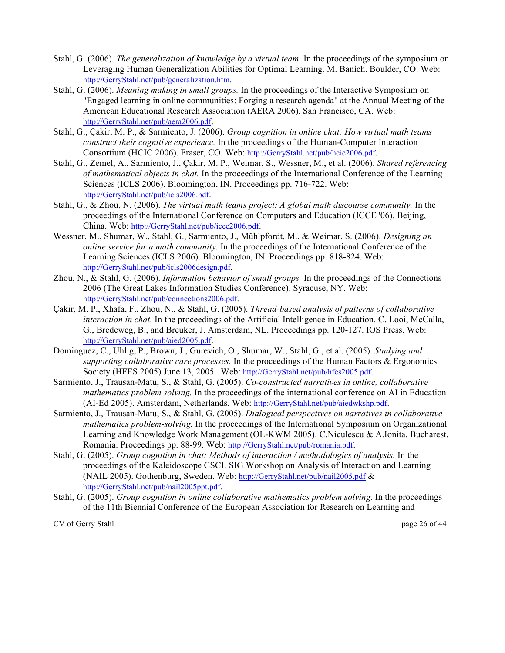- Stahl, G. (2006). *The generalization of knowledge by a virtual team.* In the proceedings of the symposium on Leveraging Human Generalization Abilities for Optimal Learning. M. Banich. Boulder, CO. Web: http://GerryStahl.net/pub/generalization.htm.
- Stahl, G. (2006). *Meaning making in small groups.* In the proceedings of the Interactive Symposium on "Engaged learning in online communities: Forging a research agenda" at the Annual Meeting of the American Educational Research Association (AERA 2006). San Francisco, CA. Web: http://GerryStahl.net/pub/aera2006.pdf.
- Stahl, G., Çakir, M. P., & Sarmiento, J. (2006). *Group cognition in online chat: How virtual math teams construct their cognitive experience.* In the proceedings of the Human-Computer Interaction Consortium (HCIC 2006). Fraser, CO. Web: http://GerryStahl.net/pub/hcic2006.pdf.
- Stahl, G., Zemel, A., Sarmiento, J., Çakir, M. P., Weimar, S., Wessner, M., et al. (2006). *Shared referencing of mathematical objects in chat.* In the proceedings of the International Conference of the Learning Sciences (ICLS 2006). Bloomington, IN. Proceedings pp. 716-722. Web: http://GerryStahl.net/pub/icls2006.pdf.
- Stahl, G., & Zhou, N. (2006). *The virtual math teams project: A global math discourse community.* In the proceedings of the International Conference on Computers and Education (ICCE '06). Beijing, China. Web: http://GerryStahl.net/pub/icce2006.pdf.
- Wessner, M., Shumar, W., Stahl, G., Sarmiento, J., Mühlpfordt, M., & Weimar, S. (2006). *Designing an online service for a math community.* In the proceedings of the International Conference of the Learning Sciences (ICLS 2006). Bloomington, IN. Proceedings pp. 818-824. Web: http://GerryStahl.net/pub/icls2006design.pdf.
- Zhou, N., & Stahl, G. (2006). *Information behavior of small groups.* In the proceedings of the Connections 2006 (The Great Lakes Information Studies Conference). Syracuse, NY. Web: http://GerryStahl.net/pub/connections2006.pdf.
- Çakir, M. P., Xhafa, F., Zhou, N., & Stahl, G. (2005). *Thread-based analysis of patterns of collaborative interaction in chat.* In the proceedings of the Artificial Intelligence in Education. C. Looi, McCalla, G., Bredeweg, B., and Breuker, J. Amsterdam, NL. Proceedings pp. 120-127. IOS Press. Web: http://GerryStahl.net/pub/aied2005.pdf.
- Dominguez, C., Uhlig, P., Brown, J., Gurevich, O., Shumar, W., Stahl, G., et al. (2005). *Studying and supporting collaborative care processes.* In the proceedings of the Human Factors & Ergonomics Society (HFES 2005) June 13, 2005. Web: http://GerryStahl.net/pub/hfes2005.pdf.
- Sarmiento, J., Trausan-Matu, S., & Stahl, G. (2005). *Co-constructed narratives in online, collaborative mathematics problem solving.* In the proceedings of the international conference on AI in Education (AI-Ed 2005). Amsterdam, Netherlands. Web: http://GerryStahl.net/pub/aiedwkshp.pdf.
- Sarmiento, J., Trausan-Matu, S., & Stahl, G. (2005). *Dialogical perspectives on narratives in collaborative mathematics problem-solving.* In the proceedings of the International Symposium on Organizational Learning and Knowledge Work Management (OL-KWM 2005). C.Niculescu & A.Ionita. Bucharest, Romania. Proceedings pp. 88-99. Web: http://GerryStahl.net/pub/romania.pdf.
- Stahl, G. (2005). *Group cognition in chat: Methods of interaction / methodologies of analysis.* In the proceedings of the Kaleidoscope CSCL SIG Workshop on Analysis of Interaction and Learning (NAIL 2005). Gothenburg, Sweden. Web: http://GerryStahl.net/pub/nail2005.pdf & http://GerryStahl.net/pub/nail2005ppt.pdf.
- Stahl, G. (2005). *Group cognition in online collaborative mathematics problem solving.* In the proceedings of the 11th Biennial Conference of the European Association for Research on Learning and

CV of Gerry Stahl page 26 of 44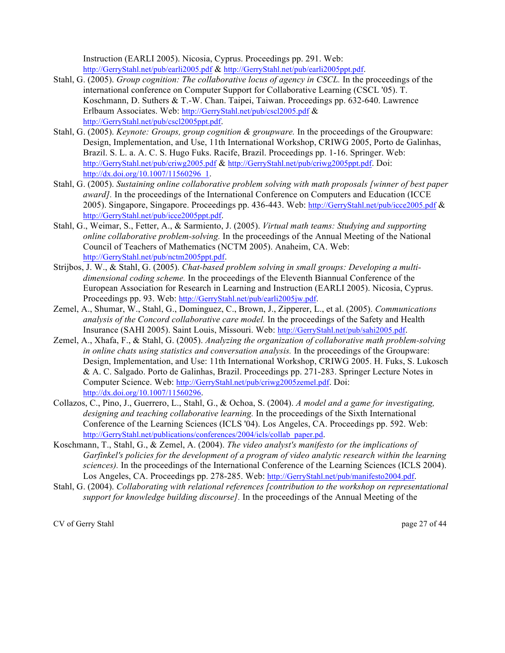Instruction (EARLI 2005). Nicosia, Cyprus. Proceedings pp. 291. Web: http://GerryStahl.net/pub/earli2005.pdf & http://GerryStahl.net/pub/earli2005ppt.pdf.

- Stahl, G. (2005). *Group cognition: The collaborative locus of agency in CSCL.* In the proceedings of the international conference on Computer Support for Collaborative Learning (CSCL '05). T. Koschmann, D. Suthers & T.-W. Chan. Taipei, Taiwan. Proceedings pp. 632-640. Lawrence Erlbaum Associates. Web: http://GerryStahl.net/pub/cscl2005.pdf & http://GerryStahl.net/pub/cscl2005ppt.pdf.
- Stahl, G. (2005). *Keynote: Groups, group cognition & groupware.* In the proceedings of the Groupware: Design, Implementation, and Use, 11th International Workshop, CRIWG 2005, Porto de Galinhas, Brazil. S. L. a. A. C. S. Hugo Fuks. Racife, Brazil. Proceedings pp. 1-16. Springer. Web: http://GerryStahl.net/pub/criwg2005.pdf & http://GerryStahl.net/pub/criwg2005ppt.pdf. Doi: http://dx.doi.org/10.1007/11560296\_1.
- Stahl, G. (2005). *Sustaining online collaborative problem solving with math proposals [winner of best paper award]*. In the proceedings of the International Conference on Computers and Education (ICCE) 2005). Singapore, Singapore. Proceedings pp. 436-443. Web: http://GerryStahl.net/pub/icce2005.pdf & http://GerryStahl.net/pub/icce2005ppt.pdf.
- Stahl, G., Weimar, S., Fetter, A., & Sarmiento, J. (2005). *Virtual math teams: Studying and supporting online collaborative problem-solving.* In the proceedings of the Annual Meeting of the National Council of Teachers of Mathematics (NCTM 2005). Anaheim, CA. Web: http://GerryStahl.net/pub/nctm2005ppt.pdf.
- Strijbos, J. W., & Stahl, G. (2005). *Chat-based problem solving in small groups: Developing a multidimensional coding scheme.* In the proceedings of the Eleventh Biannual Conference of the European Association for Research in Learning and Instruction (EARLI 2005). Nicosia, Cyprus. Proceedings pp. 93. Web: http://GerryStahl.net/pub/earli2005jw.pdf.
- Zemel, A., Shumar, W., Stahl, G., Dominguez, C., Brown, J., Zipperer, L., et al. (2005). *Communications analysis of the Concord collaborative care model.* In the proceedings of the Safety and Health Insurance (SAHI 2005). Saint Louis, Missouri. Web: http://GerryStahl.net/pub/sahi2005.pdf.
- Zemel, A., Xhafa, F., & Stahl, G. (2005). *Analyzing the organization of collaborative math problem-solving in online chats using statistics and conversation analysis.* In the proceedings of the Groupware: Design, Implementation, and Use: 11th International Workshop, CRIWG 2005. H. Fuks, S. Lukosch & A. C. Salgado. Porto de Galinhas, Brazil. Proceedings pp. 271-283. Springer Lecture Notes in Computer Science. Web: http://GerryStahl.net/pub/criwg2005zemel.pdf. Doi: http://dx.doi.org/10.1007/11560296.
- Collazos, C., Pino, J., Guerrero, L., Stahl, G., & Ochoa, S. (2004). *A model and a game for investigating, designing and teaching collaborative learning.* In the proceedings of the Sixth International Conference of the Learning Sciences (ICLS '04). Los Angeles, CA. Proceedings pp. 592. Web: http://GerryStahl.net/publications/conferences/2004/icls/collab\_paper.pd.
- Koschmann, T., Stahl, G., & Zemel, A. (2004). *The video analyst's manifesto (or the implications of Garfinkel's policies for the development of a program of video analytic research within the learning sciences).* In the proceedings of the International Conference of the Learning Sciences (ICLS 2004). Los Angeles, CA. Proceedings pp. 278-285. Web: http://GerryStahl.net/pub/manifesto2004.pdf.
- Stahl, G. (2004). *Collaborating with relational references [contribution to the workshop on representational support for knowledge building discourse].* In the proceedings of the Annual Meeting of the

CV of Gerry Stahl page 27 of 44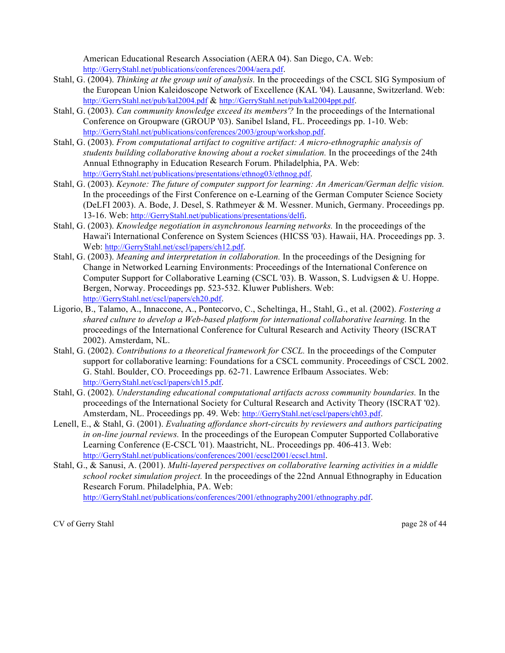American Educational Research Association (AERA 04). San Diego, CA. Web: http://GerryStahl.net/publications/conferences/2004/aera.pdf.

- Stahl, G. (2004). *Thinking at the group unit of analysis.* In the proceedings of the CSCL SIG Symposium of the European Union Kaleidoscope Network of Excellence (KAL '04). Lausanne, Switzerland. Web: http://GerryStahl.net/pub/kal2004.pdf & http://GerryStahl.net/pub/kal2004ppt.pdf.
- Stahl, G. (2003). *Can community knowledge exceed its members'?* In the proceedings of the International Conference on Groupware (GROUP '03). Sanibel Island, FL. Proceedings pp. 1-10. Web: http://GerryStahl.net/publications/conferences/2003/group/workshop.pdf.
- Stahl, G. (2003). *From computational artifact to cognitive artifact: A micro-ethnographic analysis of students building collaborative knowing about a rocket simulation.* In the proceedings of the 24th Annual Ethnography in Education Research Forum. Philadelphia, PA. Web: http://GerryStahl.net/publications/presentations/ethnog03/ethnog.pdf.
- Stahl, G. (2003). *Keynote: The future of computer support for learning: An American/German delfic vision.* In the proceedings of the First Conference on e-Learning of the German Computer Science Society (DeLFI 2003). A. Bode, J. Desel, S. Rathmeyer & M. Wessner. Munich, Germany. Proceedings pp. 13-16. Web: http://GerryStahl.net/publications/presentations/delfi.
- Stahl, G. (2003). *Knowledge negotiation in asynchronous learning networks.* In the proceedings of the Hawai'i International Conference on System Sciences (HICSS '03). Hawaii, HA. Proceedings pp. 3. Web: http://GerryStahl.net/cscl/papers/ch12.pdf.
- Stahl, G. (2003). *Meaning and interpretation in collaboration.* In the proceedings of the Designing for Change in Networked Learning Environments: Proceedings of the International Conference on Computer Support for Collaborative Learning (CSCL '03). B. Wasson, S. Ludvigsen & U. Hoppe. Bergen, Norway. Proceedings pp. 523-532. Kluwer Publishers. Web: http://GerryStahl.net/cscl/papers/ch20.pdf.
- Ligorio, B., Talamo, A., Innaccone, A., Pontecorvo, C., Scheltinga, H., Stahl, G., et al. (2002). *Fostering a shared culture to develop a Web-based platform for international collaborative learning.* In the proceedings of the International Conference for Cultural Research and Activity Theory (ISCRAT 2002). Amsterdam, NL.
- Stahl, G. (2002). *Contributions to a theoretical framework for CSCL.* In the proceedings of the Computer support for collaborative learning: Foundations for a CSCL community. Proceedings of CSCL 2002. G. Stahl. Boulder, CO. Proceedings pp. 62-71. Lawrence Erlbaum Associates. Web: http://GerryStahl.net/cscl/papers/ch15.pdf.
- Stahl, G. (2002). *Understanding educational computational artifacts across community boundaries.* In the proceedings of the International Society for Cultural Research and Activity Theory (ISCRAT '02). Amsterdam, NL. Proceedings pp. 49. Web: http://GerryStahl.net/cscl/papers/ch03.pdf.
- Lenell, E., & Stahl, G. (2001). *Evaluating affordance short-circuits by reviewers and authors participating in on-line journal reviews.* In the proceedings of the European Computer Supported Collaborative Learning Conference (E-CSCL '01). Maastricht, NL. Proceedings pp. 406-413. Web: http://GerryStahl.net/publications/conferences/2001/ecscl2001/ecscl.html.
- Stahl, G., & Sanusi, A. (2001). *Multi-layered perspectives on collaborative learning activities in a middle school rocket simulation project.* In the proceedings of the 22nd Annual Ethnography in Education Research Forum. Philadelphia, PA. Web: http://GerryStahl.net/publications/conferences/2001/ethnography2001/ethnography.pdf.

CV of Gerry Stahl page 28 of 44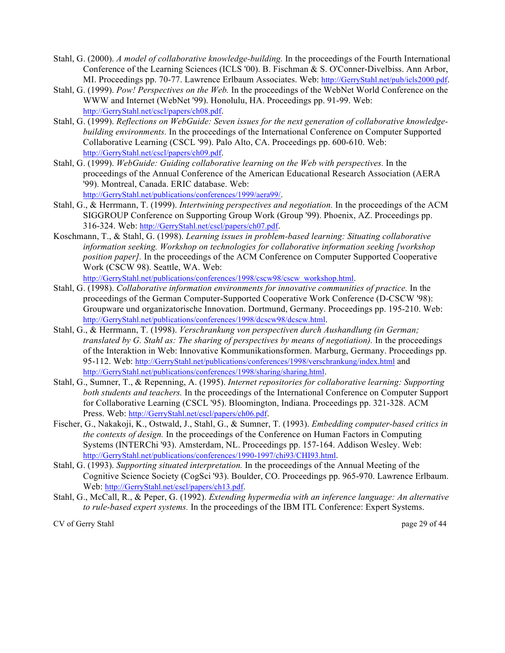- Stahl, G. (2000). *A model of collaborative knowledge-building.* In the proceedings of the Fourth International Conference of the Learning Sciences (ICLS '00). B. Fischman & S. O'Conner-Divelbiss. Ann Arbor, MI. Proceedings pp. 70-77. Lawrence Erlbaum Associates. Web: http://GerryStahl.net/pub/icls2000.pdf.
- Stahl, G. (1999). *Pow! Perspectives on the Web.* In the proceedings of the WebNet World Conference on the WWW and Internet (WebNet '99). Honolulu, HA. Proceedings pp. 91-99. Web: http://GerryStahl.net/cscl/papers/ch08.pdf.
- Stahl, G. (1999). *Reflections on WebGuide: Seven issues for the next generation of collaborative knowledgebuilding environments.* In the proceedings of the International Conference on Computer Supported Collaborative Learning (CSCL '99). Palo Alto, CA. Proceedings pp. 600-610. Web: http://GerryStahl.net/cscl/papers/ch09.pdf.
- Stahl, G. (1999). *WebGuide: Guiding collaborative learning on the Web with perspectives.* In the proceedings of the Annual Conference of the American Educational Research Association (AERA '99). Montreal, Canada. ERIC database. Web: http://GerryStahl.net/publications/conferences/1999/aera99/.
- Stahl, G., & Herrmann, T. (1999). *Intertwining perspectives and negotiation.* In the proceedings of the ACM SIGGROUP Conference on Supporting Group Work (Group '99). Phoenix, AZ. Proceedings pp. 316-324. Web: http://GerryStahl.net/cscl/papers/ch07.pdf.
- Koschmann, T., & Stahl, G. (1998). *Learning issues in problem-based learning: Situating collaborative information seeking. Workshop on technologies for collaborative information seeking [workshop position paper].* In the proceedings of the ACM Conference on Computer Supported Cooperative Work (CSCW 98). Seattle, WA. Web:

http://GerryStahl.net/publications/conferences/1998/cscw98/cscw\_workshop.html.

- Stahl, G. (1998). *Collaborative information environments for innovative communities of practice.* In the proceedings of the German Computer-Supported Cooperative Work Conference (D-CSCW '98): Groupware und organizatorische Innovation. Dortmund, Germany. Proceedings pp. 195-210. Web: http://GerryStahl.net/publications/conferences/1998/dcscw98/dcscw.html.
- Stahl, G., & Herrmann, T. (1998). *Verschrankung von perspectiven durch Aushandlung (in German; translated by G. Stahl as: The sharing of perspectives by means of negotiation).* In the proceedings of the Interaktion in Web: Innovative Kommunikationsformen. Marburg, Germany. Proceedings pp. 95-112. Web: http://GerryStahl.net/publications/conferences/1998/verschrankung/index.html and http://GerryStahl.net/publications/conferences/1998/sharing/sharing.html.
- Stahl, G., Sumner, T., & Repenning, A. (1995). *Internet repositories for collaborative learning: Supporting both students and teachers.* In the proceedings of the International Conference on Computer Support for Collaborative Learning (CSCL '95). Bloomington, Indiana. Proceedings pp. 321-328. ACM Press. Web: http://GerryStahl.net/cscl/papers/ch06.pdf.
- Fischer, G., Nakakoji, K., Ostwald, J., Stahl, G., & Sumner, T. (1993). *Embedding computer-based critics in the contexts of design.* In the proceedings of the Conference on Human Factors in Computing Systems (INTERChi '93). Amsterdam, NL. Proceedings pp. 157-164. Addison Wesley. Web: http://GerryStahl.net/publications/conferences/1990-1997/chi93/CHI93.html.
- Stahl, G. (1993). *Supporting situated interpretation.* In the proceedings of the Annual Meeting of the Cognitive Science Society (CogSci '93). Boulder, CO. Proceedings pp. 965-970. Lawrence Erlbaum. Web: http://GerryStahl.net/cscl/papers/ch13.pdf.
- Stahl, G., McCall, R., & Peper, G. (1992). *Extending hypermedia with an inference language: An alternative to rule-based expert systems.* In the proceedings of the IBM ITL Conference: Expert Systems.

CV of Gerry Stahl page 29 of 44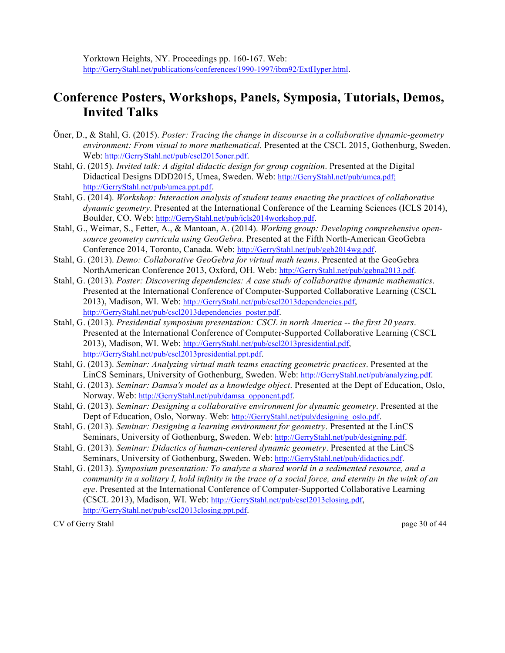## **Conference Posters, Workshops, Panels, Symposia, Tutorials, Demos, Invited Talks**

- Öner, D., & Stahl, G. (2015). *Poster: Tracing the change in discourse in a collaborative dynamic-geometry environment: From visual to more mathematical*. Presented at the CSCL 2015, Gothenburg, Sweden. Web: http://GerryStahl.net/pub/cscl2015oner.pdf.
- Stahl, G. (2015). *Invited talk: A digital didactic design for group cognition*. Presented at the Digital Didactical Designs DDD2015, Umea, Sweden. Web: http://GerryStahl.net/pub/umea.pdf; http://GerryStahl.net/pub/umea.ppt.pdf.
- Stahl, G. (2014). *Workshop: Interaction analysis of student teams enacting the practices of collaborative dynamic geometry*. Presented at the International Conference of the Learning Sciences (ICLS 2014), Boulder, CO. Web: http://GerryStahl.net/pub/icls2014workshop.pdf.
- Stahl, G., Weimar, S., Fetter, A., & Mantoan, A. (2014). *Working group: Developing comprehensive opensource geometry curricula using GeoGebra*. Presented at the Fifth North-American GeoGebra Conference 2014, Toronto, Canada. Web: http://GerryStahl.net/pub/ggb2014wg.pdf.
- Stahl, G. (2013). *Demo: Collaborative GeoGebra for virtual math teams*. Presented at the GeoGebra NorthAmerican Conference 2013, Oxford, OH. Web: http://GerryStahl.net/pub/ggbna2013.pdf.
- Stahl, G. (2013). *Poster: Discovering dependencies: A case study of collaborative dynamic mathematics*. Presented at the International Conference of Computer-Supported Collaborative Learning (CSCL 2013), Madison, WI. Web: http://GerryStahl.net/pub/cscl2013dependencies.pdf, http://GerryStahl.net/pub/cscl2013dependencies\_poster.pdf.
- Stahl, G. (2013). *Presidential symposium presentation: CSCL in north America -- the first 20 years*. Presented at the International Conference of Computer-Supported Collaborative Learning (CSCL 2013), Madison, WI. Web: http://GerryStahl.net/pub/cscl2013presidential.pdf, http://GerryStahl.net/pub/cscl2013presidential.ppt.pdf.
- Stahl, G. (2013). *Seminar: Analyzing virtual math teams enacting geometric practices*. Presented at the LinCS Seminars, University of Gothenburg, Sweden. Web: http://GerryStahl.net/pub/analyzing.pdf.
- Stahl, G. (2013). *Seminar: Damsa's model as a knowledge object*. Presented at the Dept of Education, Oslo, Norway. Web: http://GerryStahl.net/pub/damsa\_opponent.pdf.
- Stahl, G. (2013). *Seminar: Designing a collaborative environment for dynamic geometry*. Presented at the Dept of Education, Oslo, Norway. Web: http://GerryStahl.net/pub/designing\_oslo.pdf.
- Stahl, G. (2013). *Seminar: Designing a learning environment for geometry*. Presented at the LinCS Seminars, University of Gothenburg, Sweden. Web: http://GerryStahl.net/pub/designing.pdf.
- Stahl, G. (2013). *Seminar: Didactics of human-centered dynamic geometry*. Presented at the LinCS Seminars, University of Gothenburg, Sweden. Web: http://GerryStahl.net/pub/didactics.pdf.
- Stahl, G. (2013). *Symposium presentation: To analyze a shared world in a sedimented resource, and a community in a solitary I, hold infinity in the trace of a social force, and eternity in the wink of an eye*. Presented at the International Conference of Computer-Supported Collaborative Learning (CSCL 2013), Madison, WI. Web: http://GerryStahl.net/pub/cscl2013closing.pdf, http://GerryStahl.net/pub/cscl2013closing.ppt.pdf.

CV of Gerry Stahl page 30 of 44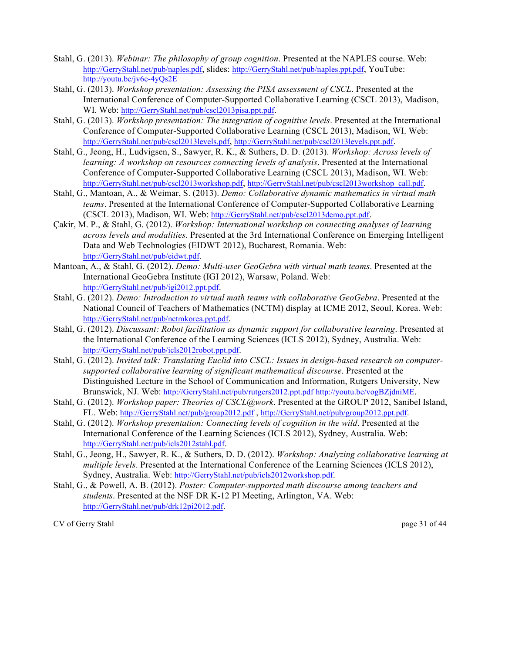- Stahl, G. (2013). *Webinar: The philosophy of group cognition*. Presented at the NAPLES course. Web: http://GerryStahl.net/pub/naples.pdf, slides: http://GerryStahl.net/pub/naples.ppt.pdf, YouTube: http://youtu.be/jv6e-4yQs2E
- Stahl, G. (2013). *Workshop presentation: Assessing the PISA assessment of CSCL*. Presented at the International Conference of Computer-Supported Collaborative Learning (CSCL 2013), Madison, WI. Web: http://GerryStahl.net/pub/cscl2013pisa.ppt.pdf.
- Stahl, G. (2013). *Workshop presentation: The integration of cognitive levels*. Presented at the International Conference of Computer-Supported Collaborative Learning (CSCL 2013), Madison, WI. Web: http://GerryStahl.net/pub/cscl2013levels.pdf, http://GerryStahl.net/pub/cscl2013levels.ppt.pdf.
- Stahl, G., Jeong, H., Ludvigsen, S., Sawyer, R. K., & Suthers, D. D. (2013). *Workshop: Across levels of learning: A workshop on resources connecting levels of analysis*. Presented at the International Conference of Computer-Supported Collaborative Learning (CSCL 2013), Madison, WI. Web: http://GerryStahl.net/pub/cscl2013workshop.pdf, http://GerryStahl.net/pub/cscl2013workshop\_call.pdf.
- Stahl, G., Mantoan, A., & Weimar, S. (2013). *Demo: Collaborative dynamic mathematics in virtual math teams*. Presented at the International Conference of Computer-Supported Collaborative Learning (CSCL 2013), Madison, WI. Web: http://GerryStahl.net/pub/cscl2013demo.ppt.pdf.
- Çakir, M. P., & Stahl, G. (2012). *Workshop: International workshop on connecting analyses of learning across levels and modalities*. Presented at the 3rd International Conference on Emerging Intelligent Data and Web Technologies (EIDWT 2012), Bucharest, Romania. Web: http://GerryStahl.net/pub/eidwt.pdf.
- Mantoan, A., & Stahl, G. (2012). *Demo: Multi-user GeoGebra with virtual math teams*. Presented at the International GeoGebra Institute (IGI 2012), Warsaw, Poland. Web: http://GerryStahl.net/pub/igi2012.ppt.pdf.
- Stahl, G. (2012). *Demo: Introduction to virtual math teams with collaborative GeoGebra*. Presented at the National Council of Teachers of Mathematics (NCTM) display at ICME 2012, Seoul, Korea. Web: http://GerryStahl.net/pub/nctmkorea.ppt.pdf.
- Stahl, G. (2012). *Discussant: Robot facilitation as dynamic support for collaborative learning*. Presented at the International Conference of the Learning Sciences (ICLS 2012), Sydney, Australia. Web: http://GerryStahl.net/pub/icls2012robot.ppt.pdf.
- Stahl, G. (2012). *Invited talk: Translating Euclid into CSCL: Issues in design-based research on computersupported collaborative learning of significant mathematical discourse*. Presented at the Distinguished Lecture in the School of Communication and Information, Rutgers University, New Brunswick, NJ. Web: http://GerryStahl.net/pub/rutgers2012.ppt.pdf http://youtu.be/vogBZjdniME.
- Stahl, G. (2012). *Workshop paper: Theories of CSCL@work*. Presented at the GROUP 2012, Sanibel Island, FL. Web: http://GerryStahl.net/pub/group2012.pdf , http://GerryStahl.net/pub/group2012.ppt.pdf.
- Stahl, G. (2012). *Workshop presentation: Connecting levels of cognition in the wild*. Presented at the International Conference of the Learning Sciences (ICLS 2012), Sydney, Australia. Web: http://GerryStahl.net/pub/icls2012stahl.pdf.
- Stahl, G., Jeong, H., Sawyer, R. K., & Suthers, D. D. (2012). *Workshop: Analyzing collaborative learning at multiple levels*. Presented at the International Conference of the Learning Sciences (ICLS 2012), Sydney, Australia. Web: http://GerryStahl.net/pub/icls2012workshop.pdf.
- Stahl, G., & Powell, A. B. (2012). *Poster: Computer-supported math discourse among teachers and students*. Presented at the NSF DR K-12 PI Meeting, Arlington, VA. Web: http://GerryStahl.net/pub/drk12pi2012.pdf.

CV of Gerry Stahl page 31 of 44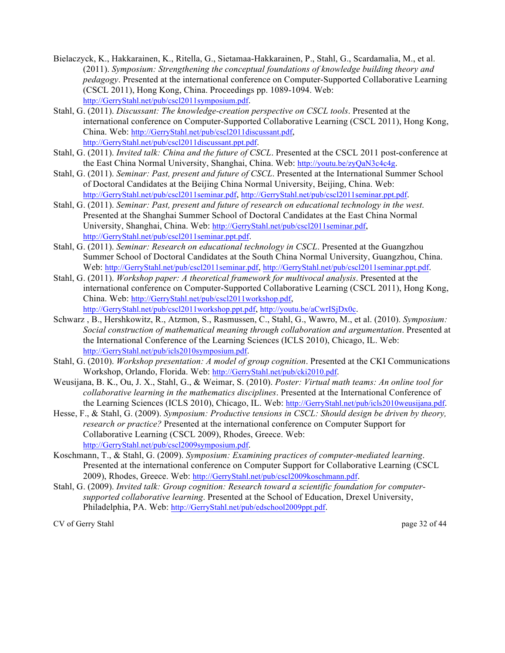- Bielaczyck, K., Hakkarainen, K., Ritella, G., Sietamaa-Hakkarainen, P., Stahl, G., Scardamalia, M., et al. (2011). *Symposium: Strengthening the conceptual foundations of knowledge building theory and pedagogy*. Presented at the international conference on Computer-Supported Collaborative Learning (CSCL 2011), Hong Kong, China. Proceedings pp. 1089-1094. Web: http://GerryStahl.net/pub/cscl2011symposium.pdf.
- Stahl, G. (2011). *Discussant: The knowledge-creation perspective on CSCL tools*. Presented at the international conference on Computer-Supported Collaborative Learning (CSCL 2011), Hong Kong, China. Web: http://GerryStahl.net/pub/cscl2011discussant.pdf, http://GerryStahl.net/pub/cscl2011discussant.ppt.pdf.
- Stahl, G. (2011). *Invited talk: China and the future of CSCL*. Presented at the CSCL 2011 post-conference at the East China Normal University, Shanghai, China. Web: http://youtu.be/zyQaN3c4c4g.
- Stahl, G. (2011). *Seminar: Past, present and future of CSCL*. Presented at the International Summer School of Doctoral Candidates at the Beijing China Normal University, Beijing, China. Web: http://GerryStahl.net/pub/cscl2011seminar.pdf, http://GerryStahl.net/pub/cscl2011seminar.ppt.pdf.
- Stahl, G. (2011). *Seminar: Past, present and future of research on educational technology in the west*. Presented at the Shanghai Summer School of Doctoral Candidates at the East China Normal University, Shanghai, China. Web: http://GerryStahl.net/pub/cscl2011seminar.pdf, http://GerryStahl.net/pub/cscl2011seminar.ppt.pdf.
- Stahl, G. (2011). *Seminar: Research on educational technology in CSCL*. Presented at the Guangzhou Summer School of Doctoral Candidates at the South China Normal University, Guangzhou, China. Web: http://GerryStahl.net/pub/cscl2011seminar.pdf, http://GerryStahl.net/pub/cscl2011seminar.ppt.pdf.
- Stahl, G. (2011). *Workshop paper: A theoretical framework for multivocal analysis*. Presented at the international conference on Computer-Supported Collaborative Learning (CSCL 2011), Hong Kong, China. Web: http://GerryStahl.net/pub/cscl2011workshop.pdf, http://GerryStahl.net/pub/cscl2011workshop.ppt.pdf, http://youtu.be/aCwrISjDx0c.
- Schwarz , B., Hershkowitz, R., Atzmon, S., Rasmussen, C., Stahl, G., Wawro, M., et al. (2010). *Symposium: Social construction of mathematical meaning through collaboration and argumentation*. Presented at the International Conference of the Learning Sciences (ICLS 2010), Chicago, IL. Web: http://GerryStahl.net/pub/icls2010symposium.pdf.
- Stahl, G. (2010). *Workshop presentation: A model of group cognition*. Presented at the CKI Communications Workshop, Orlando, Florida. Web: http://GerryStahl.net/pub/cki2010.pdf.
- Weusijana, B. K., Ou, J. X., Stahl, G., & Weimar, S. (2010). *Poster: Virtual math teams: An online tool for collaborative learning in the mathematics disciplines*. Presented at the International Conference of the Learning Sciences (ICLS 2010), Chicago, IL. Web: http://GerryStahl.net/pub/icls2010weusijana.pdf.
- Hesse, F., & Stahl, G. (2009). *Symposium: Productive tensions in CSCL: Should design be driven by theory, research or practice?* Presented at the international conference on Computer Support for Collaborative Learning (CSCL 2009), Rhodes, Greece. Web: http://GerryStahl.net/pub/cscl2009symposium.pdf.
- Koschmann, T., & Stahl, G. (2009). *Symposium: Examining practices of computer-mediated learning*. Presented at the international conference on Computer Support for Collaborative Learning (CSCL 2009), Rhodes, Greece. Web: http://GerryStahl.net/pub/cscl2009koschmann.pdf.
- Stahl, G. (2009). *Invited talk: Group cognition: Research toward a scientific foundation for computersupported collaborative learning*. Presented at the School of Education, Drexel University, Philadelphia, PA. Web: http://GerryStahl.net/pub/edschool2009ppt.pdf.

CV of Gerry Stahl page 32 of 44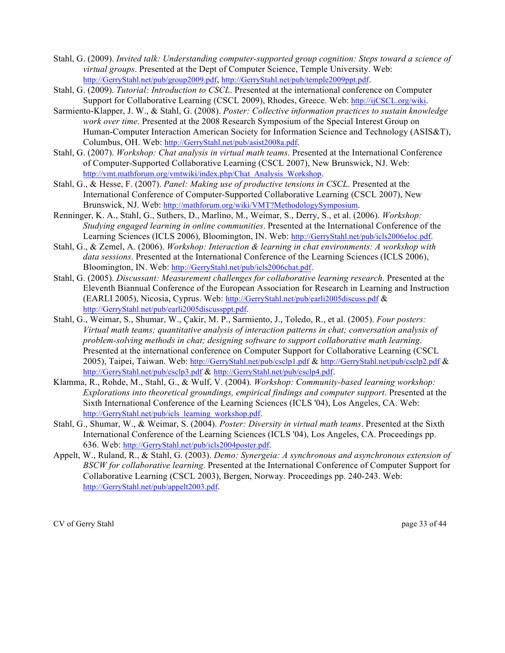- Stahl, G. (2009). *Invited talk: Understanding computer-supported group cognition: Steps toward a science of virtual groups*. Presented at the Dept of Computer Science, Temple University. Web: http://GerryStahl.net/pub/group2009.pdf, http://GerryStahl.net/pub/temple2009ppt.pdf.
- Stahl, G. (2009). *Tutorial: Introduction to CSCL*. Presented at the international conference on Computer Support for Collaborative Learning (CSCL 2009), Rhodes, Greece. Web: http://ijCSCL.org/wiki.
- Sarmiento-Klapper, J. W., & Stahl, G. (2008). *Poster: Collective information practices to sustain knowledge work over time*. Presented at the 2008 Research Symposium of the Special Interest Group on Human-Computer Interaction American Society for Information Science and Technology (ASIS&T), Columbus, OH. Web: http://GerryStahl.net/pub/asist2008a.pdf.
- Stahl, G. (2007). *Workshop: Chat analysis in virtual math teams*. Presented at the International Conference of Computer-Supported Collaborative Learning (CSCL 2007), New Brunswick, NJ. Web: http://vmt.mathforum.org/vmtwiki/index.php/Chat\_Analysis\_Workshop.
- Stahl, G., & Hesse, F. (2007). *Panel: Making use of productive tensions in CSCL*. Presented at the International Conference of Computer-Supported Collaborative Learning (CSCL 2007), New Brunswick, NJ. Web: http://mathforum.org/wiki/VMT?MethodologySymposium.
- Renninger, K. A., Stahl, G., Suthers, D., Marlino, M., Weimar, S., Derry, S., et al. (2006). *Workshop: Studying engaged learning in online communities*. Presented at the International Conference of the Learning Sciences (ICLS 2006), Bloomington, IN. Web: http://GerryStahl.net/pub/icls2006eloc.pdf.
- Stahl, G., & Zemel, A. (2006). *Workshop: Interaction & learning in chat environments: A workshop with data sessions*. Presented at the International Conference of the Learning Sciences (ICLS 2006), Bloomington, IN. Web: http://GerryStahl.net/pub/icls2006chat.pdf.
- Stahl, G. (2005). *Discussant: Measurement challenges for collaborative learning research*. Presented at the Eleventh Biannual Conference of the European Association for Research in Learning and Instruction (EARLI 2005), Nicosia, Cyprus. Web: http://GerryStahl.net/pub/earli2005discuss.pdf & http://GerryStahl.net/pub/earli2005discussppt.pdf.
- Stahl, G., Weimar, S., Shumar, W., Çakir, M. P., Sarmiento, J., Toledo, R., et al. (2005). *Four posters: Virtual math teams; quantitative analysis of interaction patterns in chat; conversation analysis of problem-solving methods in chat; designing software to support collaborative math learning*. Presented at the international conference on Computer Support for Collaborative Learning (CSCL 2005), Taipei, Taiwan. Web: http://GerryStahl.net/pub/csclp1.pdf & http://GerryStahl.net/pub/csclp2.pdf & http://GerryStahl.net/pub/csclp3.pdf & http://GerryStahl.net/pub/csclp4.pdf.
- Klamma, R., Rohde, M., Stahl, G., & Wulf, V. (2004). *Workshop: Community-based learning workshop: Explorations into theoretical groundings, empirical findings and computer support*. Presented at the Sixth International Conference of the Learning Sciences (ICLS '04), Los Angeles, CA. Web: http://GerryStahl.net/pub/icls\_learning\_workshop.pdf.
- Stahl, G., Shumar, W., & Weimar, S. (2004). *Poster: Diversity in virtual math teams*. Presented at the Sixth International Conference of the Learning Sciences (ICLS '04), Los Angeles, CA. Proceedings pp. 636. Web: http://GerryStahl.net/pub/icls2004poster.pdf.
- Appelt, W., Ruland, R., & Stahl, G. (2003). *Demo: Synergeia: A synchronous and asynchronous extension of BSCW for collaborative learning*. Presented at the International Conference of Computer Support for Collaborative Learning (CSCL 2003), Bergen, Norway. Proceedings pp. 240-243. Web: http://GerryStahl.net/pub/appelt2003.pdf.

CV of Gerry Stahl page 33 of 44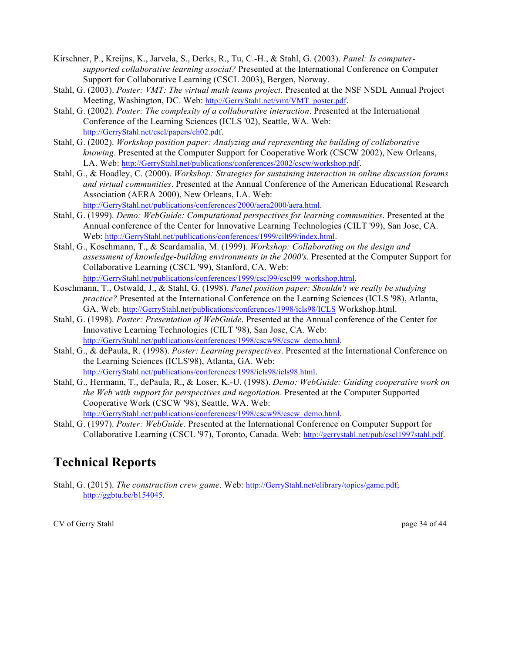- Kirschner, P., Kreijns, K., Jarvela, S., Derks, R., Tu, C.-H., & Stahl, G. (2003). *Panel: Is computersupported collaborative learning asocial?* Presented at the International Conference on Computer Support for Collaborative Learning (CSCL 2003), Bergen, Norway.
- Stahl, G. (2003). *Poster: VMT: The virtual math teams project*. Presented at the NSF NSDL Annual Project Meeting, Washington, DC. Web: http://GerryStahl.net/vmt/VMT\_poster.pdf.
- Stahl, G. (2002). *Poster: The complexity of a collaborative interaction*. Presented at the International Conference of the Learning Sciences (ICLS '02), Seattle, WA. Web: http://GerryStahl.net/cscl/papers/ch02.pdf.
- Stahl, G. (2002). *Workshop position paper: Analyzing and representing the building of collaborative knowing*. Presented at the Computer Support for Cooperative Work (CSCW 2002), New Orleans, LA. Web: http://GerryStahl.net/publications/conferences/2002/cscw/workshop.pdf.
- Stahl, G., & Hoadley, C. (2000). *Workshop: Strategies for sustaining interaction in online discussion forums and virtual communities*. Presented at the Annual Conference of the American Educational Research Association (AERA 2000), New Orleans, LA. Web:

http://GerryStahl.net/publications/conferences/2000/aera2000/aera.html.

- Stahl, G. (1999). *Demo: WebGuide: Computational perspectives for learning communities*. Presented at the Annual conference of the Center for Innovative Learning Technologies (CILT '99), San Jose, CA. Web: http://GerryStahl.net/publications/conferences/1999/cilt99/index.html.
- Stahl, G., Koschmann, T., & Scardamalia, M. (1999). *Workshop: Collaborating on the design and assessment of knowledge-building environments in the 2000's*. Presented at the Computer Support for Collaborative Learning (CSCL '99), Stanford, CA. Web: http://GerryStahl.net/publications/conferences/1999/cscl99/cscl99\_workshop.html.
- Koschmann, T., Ostwald, J., & Stahl, G. (1998). *Panel position paper: Shouldn't we really be studying practice?* Presented at the International Conference on the Learning Sciences (ICLS '98), Atlanta, GA. Web: http://GerryStahl.net/publications/conferences/1998/icls98/ICLS Workshop.html.
- Stahl, G. (1998). *Poster: Presentation of WebGuide*. Presented at the Annual conference of the Center for Innovative Learning Technologies (CILT '98), San Jose, CA. Web: http://GerryStahl.net/publications/conferences/1998/cscw98/cscw\_demo.html.
- Stahl, G., & dePaula, R. (1998). *Poster: Learning perspectives*. Presented at the International Conference on the Learning Sciences (ICLS'98), Atlanta, GA. Web: http://GerryStahl.net/publications/conferences/1998/icls98/icls98.html.
- Stahl, G., Hermann, T., dePaula, R., & Loser, K.-U. (1998). *Demo: WebGuide: Guiding cooperative work on the Web with support for perspectives and negotiation*. Presented at the Computer Supported Cooperative Work (CSCW '98), Seattle, WA. Web: http://GerryStahl.net/publications/conferences/1998/cscw98/cscw\_demo.html.
- Stahl, G. (1997). *Poster: WebGuide*. Presented at the International Conference on Computer Support for Collaborative Learning (CSCL '97), Toronto, Canada. Web: http://gerrystahl.net/pub/cscl1997stahl.pdf.

# **Technical Reports**

Stahl, G. (2015). *The construction crew game*. Web: http://GerryStahl.net/elibrary/topics/game.pdf; http://ggbtu.be/b154045.

CV of Gerry Stahl page 34 of 44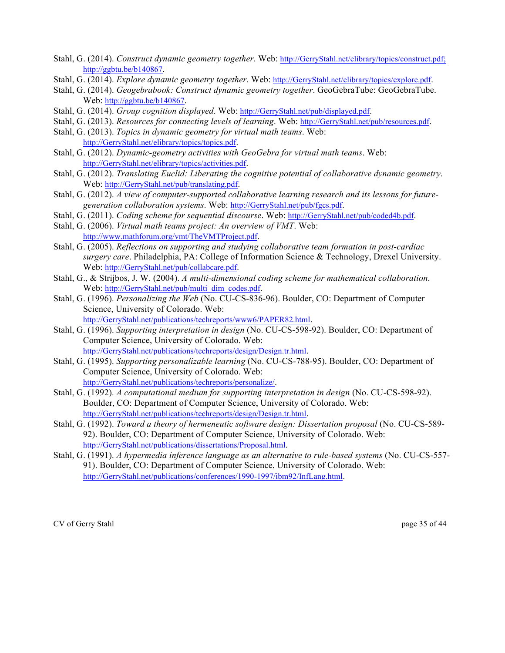- Stahl, G. (2014). *Construct dynamic geometry together*. Web: http://GerryStahl.net/elibrary/topics/construct.pdf; http://ggbtu.be/b140867.
- Stahl, G. (2014). *Explore dynamic geometry together*. Web: http://GerryStahl.net/elibrary/topics/explore.pdf.
- Stahl, G. (2014). *Geogebrabook: Construct dynamic geometry together*. GeoGebraTube: GeoGebraTube. Web: http://ggbtu.be/b140867.
- Stahl, G. (2014). *Group cognition displayed*. Web: http://GerryStahl.net/pub/displayed.pdf.
- Stahl, G. (2013). *Resources for connecting levels of learning*. Web: http://GerryStahl.net/pub/resources.pdf.
- Stahl, G. (2013). *Topics in dynamic geometry for virtual math teams*. Web: http://GerryStahl.net/elibrary/topics/topics.pdf.
- Stahl, G. (2012). *Dynamic-geometry activities with GeoGebra for virtual math teams*. Web: http://GerryStahl.net/elibrary/topics/activities.pdf.
- Stahl, G. (2012). *Translating Euclid: Liberating the cognitive potential of collaborative dynamic geometry*. Web: http://GerryStahl.net/pub/translating.pdf.
- Stahl, G. (2012). *A view of computer-supported collaborative learning research and its lessons for futuregeneration collaboration systems*. Web: http://GerryStahl.net/pub/fgcs.pdf.
- Stahl, G. (2011). *Coding scheme for sequential discourse*. Web: http://GerryStahl.net/pub/coded4b.pdf.
- Stahl, G. (2006). *Virtual math teams project: An overview of VMT*. Web: http://www.mathforum.org/vmt/TheVMTProject.pdf.
- Stahl, G. (2005). *Reflections on supporting and studying collaborative team formation in post-cardiac surgery care*. Philadelphia, PA: College of Information Science & Technology, Drexel University. Web: http://GerryStahl.net/pub/collabcare.pdf.
- Stahl, G., & Strijbos, J. W. (2004). *A multi-dimensional coding scheme for mathematical collaboration*. Web: http://GerryStahl.net/pub/multi\_dim\_codes.pdf.
- Stahl, G. (1996). *Personalizing the Web* (No. CU-CS-836-96). Boulder, CO: Department of Computer Science, University of Colorado. Web: http://GerryStahl.net/publications/techreports/www6/PAPER82.html.
- Stahl, G. (1996). *Supporting interpretation in design* (No. CU-CS-598-92). Boulder, CO: Department of Computer Science, University of Colorado. Web: http://GerryStahl.net/publications/techreports/design/Design.tr.html.
- Stahl, G. (1995). *Supporting personalizable learning* (No. CU-CS-788-95). Boulder, CO: Department of Computer Science, University of Colorado. Web: http://GerryStahl.net/publications/techreports/personalize/.
- Stahl, G. (1992). *A computational medium for supporting interpretation in design* (No. CU-CS-598-92). Boulder, CO: Department of Computer Science, University of Colorado. Web: http://GerryStahl.net/publications/techreports/design/Design.tr.html.
- Stahl, G. (1992). *Toward a theory of hermeneutic software design: Dissertation proposal* (No. CU-CS-589- 92). Boulder, CO: Department of Computer Science, University of Colorado. Web: http://GerryStahl.net/publications/dissertations/Proposal.html.
- Stahl, G. (1991). *A hypermedia inference language as an alternative to rule-based systems* (No. CU-CS-557- 91). Boulder, CO: Department of Computer Science, University of Colorado. Web: http://GerryStahl.net/publications/conferences/1990-1997/ibm92/InfLang.html.

CV of Gerry Stahl page 35 of 44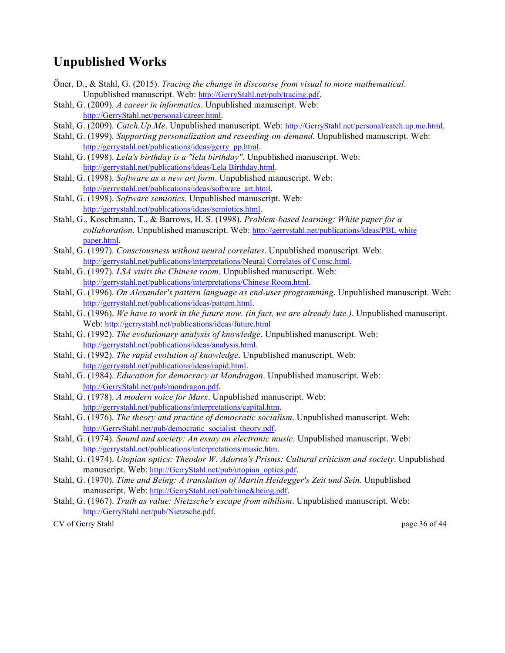#### **Unpublished Works**

- Öner, D., & Stahl, G. (2015). *Tracing the change in discourse from visual to more mathematical*. Unpublished manuscript. Web: http://GerryStahl.net/pub/tracing.pdf.
- Stahl, G. (2009). *A career in informatics*. Unpublished manuscript. Web: http://GerryStahl.net/personal/career.html.
- Stahl, G. (2009). *Catch.Up.Me*. Unpublished manuscript. Web: http://GerryStahl.net/personal/catch.up.me.html.
- Stahl, G. (1999). *Supporting personalization and reseeding-on-demand*. Unpublished manuscript. Web: http://gerrystahl.net/publications/ideas/gerry\_pp.html.
- Stahl, G. (1998). *Lela's birthday is a "lela birthday"*. Unpublished manuscript. Web: http://gerrystahl.net/publications/ideas/Lela Birthday.html.
- Stahl, G. (1998). *Software as a new art form*. Unpublished manuscript. Web: http://gerrystahl.net/publications/ideas/software\_art.html.
- Stahl, G. (1998). *Software semiotics*. Unpublished manuscript. Web: http://gerrystahl.net/publications/ideas/semiotics.html.
- Stahl, G., Koschmann, T., & Barrows, H. S. (1998). *Problem-based learning: White paper for a collaboration*. Unpublished manuscript. Web: http://gerrystahl.net/publications/ideas/PBL white paper.html.
- Stahl, G. (1997). *Consciousness without neural correlates*. Unpublished manuscript. Web: http://gerrystahl.net/publications/interpretations/Neural Correlates of Consc.html.
- Stahl, G. (1997). *LSA visits the Chinese room*. Unpublished manuscript. Web: http://gerrystahl.net/publications/interpretations/Chinese Room.html.
- Stahl, G. (1996). *On Alexander's pattern language as end-user programming*. Unpublished manuscript. Web: http://gerrystahl.net/publications/ideas/pattern.html.
- Stahl, G. (1996). *We have to work in the future now. (in fact, we are already late.)*. Unpublished manuscript. Web: http://gerrystahl.net/publications/ideas/future.html
- Stahl, G. (1992). *The evolutionary analysis of knowledge*. Unpublished manuscript. Web: http://gerrystahl.net/publications/ideas/analysis.html.
- Stahl, G. (1992). *The rapid evolution of knowledge*. Unpublished manuscript. Web: http://gerrystahl.net/publications/ideas/rapid.html.
- Stahl, G. (1984). *Education for democracy at Mondragon*. Unpublished manuscript. Web: http://GerryStahl.net/pub/mondragon.pdf.
- Stahl, G. (1978). *A modern voice for Marx*. Unpublished manuscript. Web: http://gerrystahl.net/publications/interpretations/capital.htm.
- Stahl, G. (1976). *The theory and practice of democratic socialism*. Unpublished manuscript. Web: http://GerryStahl.net/pub/democratic\_socialist\_theory.pdf.
- Stahl, G. (1974). *Sound and society: An essay on electronic music*. Unpublished manuscript. Web: http://gerrystahl.net/publications/interpretations/music.htm.
- Stahl, G. (1974). *Utopian optics: Theodor W. Adorno's Prisms: Cultural criticism and society*. Unpublished manuscript. Web: http://GerryStahl.net/pub/utopian\_optics.pdf.
- Stahl, G. (1970). *Time and Being: A translation of Martin Heidegger's Zeit und Sein*. Unpublished manuscript. Web: http://GerryStahl.net/pub/time&being.pdf.
- Stahl, G. (1967). *Truth as value: Nietzsche's escape from nihilism*. Unpublished manuscript. Web: http://GerryStahl.net/pub/Nietzsche.pdf.

CV of Gerry Stahl page 36 of 44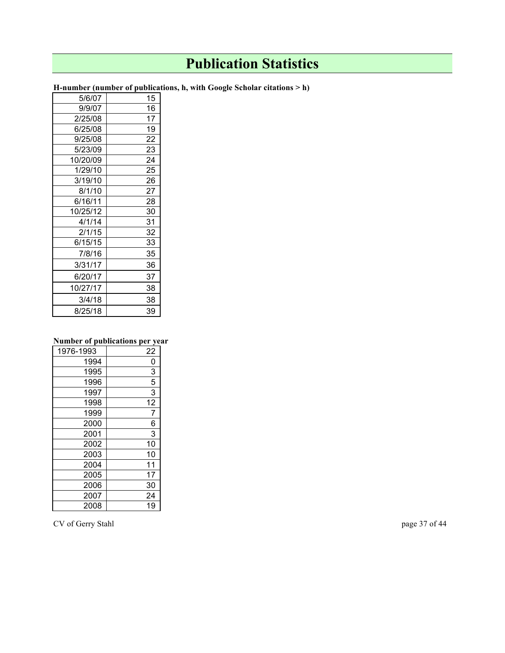# **Publication Statistics**

| 15 |
|----|
|    |
| 16 |
| 17 |
| 19 |
| 22 |
| 23 |
| 24 |
| 25 |
| 26 |
| 27 |
| 28 |
| 30 |
| 31 |
| 32 |
| 33 |
| 35 |
| 36 |
| 37 |
| 38 |
| 38 |
| 39 |
|    |

**H-number (number of publications, h, with Google Scholar citations > h)**

#### **Number of publications per year**

| 1976-1993 | 22             |
|-----------|----------------|
| 1994      | 0              |
| 1995      | 3              |
| 1996      | $\overline{5}$ |
| 1997      | 3              |
| 1998      | 12             |
| 1999      | 7              |
| 2000      | 6              |
| 2001      | 3              |
| 2002      | 10             |
| 2003      | 10             |
| 2004      | 11             |
| 2005      | 17             |
| 2006      | 30             |
| 2007      | 24             |
| 2008      | 19             |

CV of Gerry Stahl page 37 of 44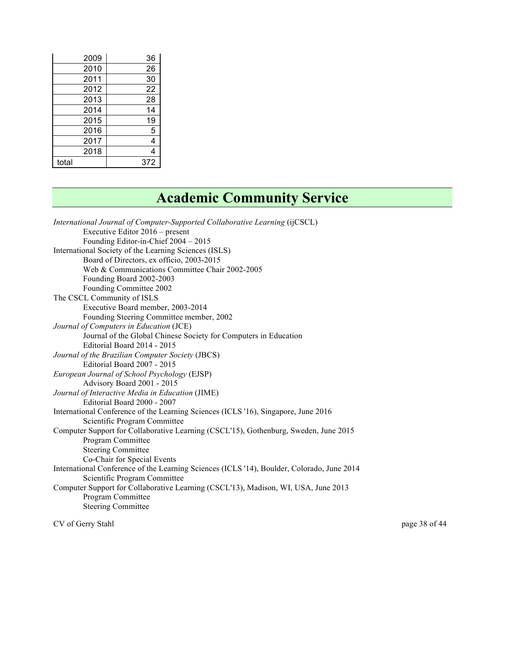| 2009  | 36  |
|-------|-----|
| 2010  | 26  |
| 2011  | 30  |
| 2012  | 22  |
| 2013  | 28  |
| 2014  | 14  |
| 2015  | 19  |
| 2016  | 5   |
| 2017  | 4   |
| 2018  | 4   |
| total | 372 |

# **Academic Community Service**

| International Journal of Computer-Supported Collaborative Learning (ijCSCL)                |
|--------------------------------------------------------------------------------------------|
| Executive Editor 2016 – present                                                            |
| Founding Editor-in-Chief 2004 - 2015                                                       |
| International Society of the Learning Sciences (ISLS)                                      |
| Board of Directors, ex officio, 2003-2015                                                  |
| Web & Communications Committee Chair 2002-2005                                             |
| Founding Board 2002-2003                                                                   |
| Founding Committee 2002                                                                    |
| The CSCL Community of ISLS                                                                 |
| Executive Board member, 2003-2014                                                          |
| Founding Steering Committee member, 2002                                                   |
| Journal of Computers in Education (JCE)                                                    |
| Journal of the Global Chinese Society for Computers in Education                           |
| Editorial Board 2014 - 2015                                                                |
| Journal of the Brazilian Computer Society (JBCS)                                           |
| Editorial Board 2007 - 2015                                                                |
| European Journal of School Psychology (EJSP)                                               |
| Advisory Board 2001 - 2015                                                                 |
| Journal of Interactive Media in Education (JIME)                                           |
| Editorial Board 2000 - 2007                                                                |
| International Conference of the Learning Sciences (ICLS '16), Singapore, June 2016         |
| Scientific Program Committee                                                               |
| Computer Support for Collaborative Learning (CSCL'15), Gothenburg, Sweden, June 2015       |
| Program Committee                                                                          |
| <b>Steering Committee</b>                                                                  |
| Co-Chair for Special Events                                                                |
| International Conference of the Learning Sciences (ICLS '14), Boulder, Colorado, June 2014 |
| Scientific Program Committee                                                               |
| Computer Support for Collaborative Learning (CSCL'13), Madison, WI, USA, June 2013         |
| Program Committee                                                                          |
| <b>Steering Committee</b>                                                                  |
|                                                                                            |

CV of Gerry Stahl page 38 of 44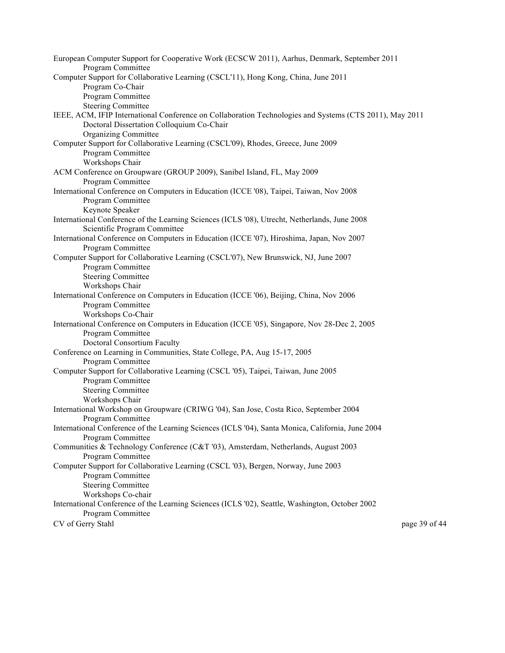| European Computer Support for Cooperative Work (ECSCW 2011), Aarhus, Denmark, September 2011                         |               |
|----------------------------------------------------------------------------------------------------------------------|---------------|
| Program Committee                                                                                                    |               |
| Computer Support for Collaborative Learning (CSCL'11), Hong Kong, China, June 2011                                   |               |
| Program Co-Chair                                                                                                     |               |
| Program Committee                                                                                                    |               |
| <b>Steering Committee</b>                                                                                            |               |
| IEEE, ACM, IFIP International Conference on Collaboration Technologies and Systems (CTS 2011), May 2011              |               |
| Doctoral Dissertation Colloquium Co-Chair                                                                            |               |
| <b>Organizing Committee</b>                                                                                          |               |
| Computer Support for Collaborative Learning (CSCL'09), Rhodes, Greece, June 2009                                     |               |
| Program Committee                                                                                                    |               |
| Workshops Chair                                                                                                      |               |
| ACM Conference on Groupware (GROUP 2009), Sanibel Island, FL, May 2009                                               |               |
| Program Committee                                                                                                    |               |
| International Conference on Computers in Education (ICCE '08), Taipei, Taiwan, Nov 2008                              |               |
| Program Committee                                                                                                    |               |
| Keynote Speaker                                                                                                      |               |
| International Conference of the Learning Sciences (ICLS '08), Utrecht, Netherlands, June 2008                        |               |
| Scientific Program Committee                                                                                         |               |
| International Conference on Computers in Education (ICCE '07), Hiroshima, Japan, Nov 2007                            |               |
| Program Committee                                                                                                    |               |
| Computer Support for Collaborative Learning (CSCL'07), New Brunswick, NJ, June 2007                                  |               |
| Program Committee                                                                                                    |               |
| <b>Steering Committee</b>                                                                                            |               |
| Workshops Chair                                                                                                      |               |
| International Conference on Computers in Education (ICCE '06), Beijing, China, Nov 2006                              |               |
| Program Committee                                                                                                    |               |
| Workshops Co-Chair                                                                                                   |               |
| International Conference on Computers in Education (ICCE '05), Singapore, Nov 28-Dec 2, 2005                         |               |
| Program Committee                                                                                                    |               |
| Doctoral Consortium Faculty                                                                                          |               |
| Conference on Learning in Communities, State College, PA, Aug 15-17, 2005                                            |               |
| Program Committee                                                                                                    |               |
| Computer Support for Collaborative Learning (CSCL '05), Taipei, Taiwan, June 2005                                    |               |
| Program Committee                                                                                                    |               |
| <b>Steering Committee</b>                                                                                            |               |
| Workshops Chair                                                                                                      |               |
| International Workshop on Groupware (CRIWG '04), San Jose, Costa Rico, September 2004                                |               |
| Program Committee                                                                                                    |               |
| International Conference of the Learning Sciences (ICLS '04), Santa Monica, California, June 2004                    |               |
| Program Committee                                                                                                    |               |
| Communities & Technology Conference (C&T '03), Amsterdam, Netherlands, August 2003                                   |               |
| Program Committee                                                                                                    |               |
| Computer Support for Collaborative Learning (CSCL '03), Bergen, Norway, June 2003                                    |               |
| Program Committee                                                                                                    |               |
| <b>Steering Committee</b>                                                                                            |               |
| Workshops Co-chair                                                                                                   |               |
| International Conference of the Learning Sciences (ICLS '02), Seattle, Washington, October 2002<br>Program Committee |               |
| CV of Gerry Stahl                                                                                                    | page 39 of 44 |
|                                                                                                                      |               |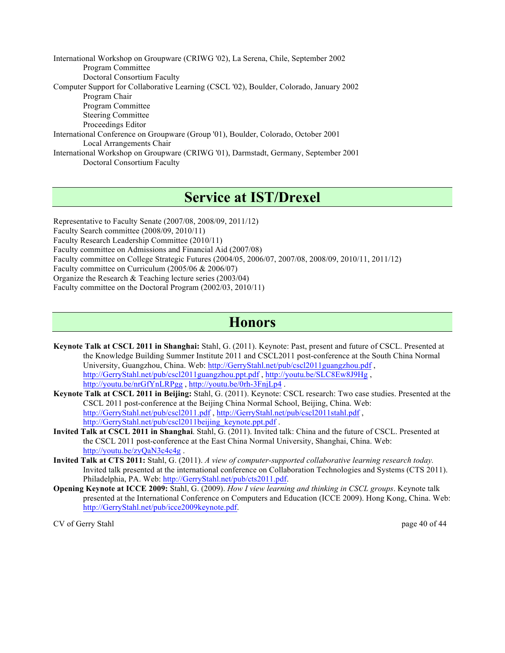International Workshop on Groupware (CRIWG '02), La Serena, Chile, September 2002 Program Committee Doctoral Consortium Faculty Computer Support for Collaborative Learning (CSCL '02), Boulder, Colorado, January 2002 Program Chair Program Committee Steering Committee Proceedings Editor International Conference on Groupware (Group '01), Boulder, Colorado, October 2001 Local Arrangements Chair International Workshop on Groupware (CRIWG '01), Darmstadt, Germany, September 2001 Doctoral Consortium Faculty

# **Service at IST/Drexel**

Representative to Faculty Senate (2007/08, 2008/09, 2011/12) Faculty Search committee (2008/09, 2010/11) Faculty Research Leadership Committee (2010/11) Faculty committee on Admissions and Financial Aid (2007/08) Faculty committee on College Strategic Futures (2004/05, 2006/07, 2007/08, 2008/09, 2010/11, 2011/12) Faculty committee on Curriculum (2005/06 & 2006/07) Organize the Research & Teaching lecture series (2003/04) Faculty committee on the Doctoral Program (2002/03, 2010/11)

### **Honors**

- **Keynote Talk at CSCL 2011 in Shanghai:** Stahl, G. (2011). Keynote: Past, present and future of CSCL. Presented at the Knowledge Building Summer Institute 2011 and CSCL2011 post-conference at the South China Normal University, Guangzhou, China. Web: http://GerryStahl.net/pub/cscl2011guangzhou.pdf , http://GerryStahl.net/pub/cscl2011guangzhou.ppt.pdf , http://youtu.be/SLC8Ew8J9Hg , http://youtu.be/nrGfYnLRPgg , http://youtu.be/0rh-3FnjLp4 .
- **Keynote Talk at CSCL 2011 in Beijing:** Stahl, G. (2011). Keynote: CSCL research: Two case studies. Presented at the CSCL 2011 post-conference at the Beijing China Normal School, Beijing, China. Web: http://GerryStahl.net/pub/cscl2011.pdf , http://GerryStahl.net/pub/cscl2011stahl.pdf , http://GerryStahl.net/pub/cscl2011beijing\_keynote.ppt.pdf.
- **Invited Talk at CSCL 2011 in Shanghai**. Stahl, G. (2011). Invited talk: China and the future of CSCL. Presented at the CSCL 2011 post-conference at the East China Normal University, Shanghai, China. Web: http://youtu.be/zyQaN3c4c4g .
- **Invited Talk at CTS 2011:** Stahl, G. (2011). *A view of computer-supported collaborative learning research today.* Invited talk presented at the international conference on Collaboration Technologies and Systems (CTS 2011). Philadelphia, PA. Web: http://GerryStahl.net/pub/cts2011.pdf.
- **Opening Keynote at ICCE 2009:** Stahl, G. (2009). *How I view learning and thinking in CSCL groups*. Keynote talk presented at the International Conference on Computers and Education (ICCE 2009). Hong Kong, China. Web: http://GerryStahl.net/pub/icce2009keynote.pdf.

CV of Gerry Stahl page 40 of 44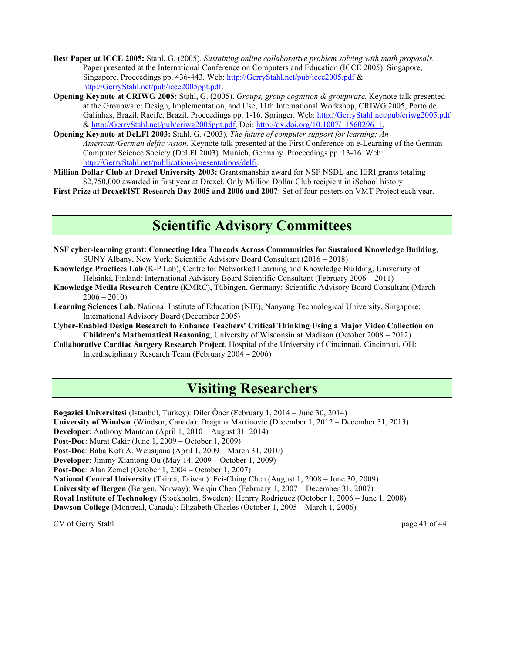- **Best Paper at ICCE 2005:** Stahl, G. (2005). *Sustaining online collaborative problem solving with math proposals.* Paper presented at the International Conference on Computers and Education (ICCE 2005). Singapore, Singapore. Proceedings pp. 436-443. Web: http://GerryStahl.net/pub/icce2005.pdf & http://GerryStahl.net/pub/icce2005ppt.pdf.
- **Opening Keynote at CRIWG 2005:** Stahl, G. (2005). *Groups, group cognition & groupware.* Keynote talk presented at the Groupware: Design, Implementation, and Use, 11th International Workshop, CRIWG 2005, Porto de Galinhas, Brazil. Racife, Brazil. Proceedings pp. 1-16. Springer. Web: http://GerryStahl.net/pub/criwg2005.pdf & http://GerryStahl.net/pub/criwg2005ppt.pdf. Doi: http://dx.doi.org/10.1007/11560296\_1.
- **Opening Keynote at DeLFI 2003:** Stahl, G. (2003). *The future of computer support for learning: An American/German delfic vision.* Keynote talk presented at the First Conference on e-Learning of the German Computer Science Society (DeLFI 2003). Munich, Germany. Proceedings pp. 13-16. Web: http://GerryStahl.net/publications/presentations/delfi.
- **Million Dollar Club at Drexel University 2003:** Grantsmanship award for NSF NSDL and IERI grants totaling \$2,750,000 awarded in first year at Drexel. Only Million Dollar Club recipient in iSchool history.

**First Prize at Drexel/IST Research Day 2005 and 2006 and 2007**: Set of four posters on VMT Project each year.

# **Scientific Advisory Committees**

- **NSF cyber-learning grant: Connecting Idea Threads Across Communities for Sustained Knowledge Building**, SUNY Albany, New York: Scientific Advisory Board Consultant (2016 – 2018)
- **Knowledge Practices Lab** (K-P Lab), Centre for Networked Learning and Knowledge Building, University of Helsinki, Finland: International Advisory Board Scientific Consultant (February 2006 – 2011)
- **Knowledge Media Research Centre** (KMRC), Tübingen, Germany: Scientific Advisory Board Consultant (March  $2006 - 2010$
- **Learning Sciences Lab**, National Institute of Education (NIE), Nanyang Technological University, Singapore: International Advisory Board (December 2005)
- **Cyber-Enabled Design Research to Enhance Teachers' Critical Thinking Using a Major Video Collection on Children's Mathematical Reasoning**, University of Wisconsin at Madison (October 2008 – 2012)
- **Collaborative Cardiac Surgery Research Project**, Hospital of the University of Cincinnati, Cincinnati, OH: Interdisciplinary Research Team (February 2004 – 2006)

# **Visiting Researchers**

**Bogazici Universitesi** (Istanbul, Turkey): Diler Öner (February 1, 2014 – June 30, 2014) **University of Windsor** (Windsor, Canada): Dragana Martinovic (December 1, 2012 – December 31, 2013) **Developer**: Anthony Mantoan (April 1, 2010 – August 31, 2014) **Post-Doc**: Murat Cakir (June 1, 2009 – October 1, 2009) **Post-Doc**: Baba Kofi A. Weusijana (April 1, 2009 – March 31, 2010) **Developer**: Jimmy Xiantong Ou (May 14, 2009 – October 1, 2009) **Post-Doc**: Alan Zemel (October 1, 2004 – October 1, 2007) **National Central University** (Taipei, Taiwan): Fei-Ching Chen (August 1, 2008 – June 30, 2009) **University of Bergen** (Bergen, Norway): Weiqin Chen (February 1, 2007 – December 31, 2007) **Royal Institute of Technology** (Stockholm, Sweden): Henrry Rodriguez (October 1, 2006 – June 1, 2008) **Dawson College** (Montreal, Canada): Elizabeth Charles (October 1, 2005 – March 1, 2006)

CV of Gerry Stahl page 41 of 44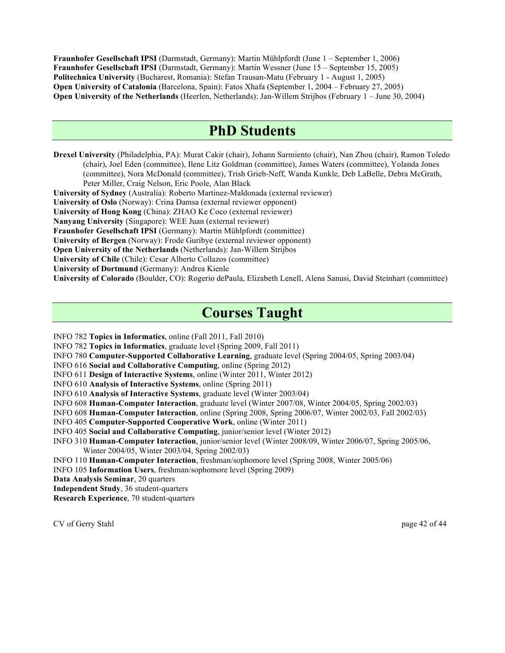**Fraunhofer Gesellschaft IPSI** (Darmstadt, Germany): Martin Mühlpfordt (June 1 – September 1, 2006) **Fraunhofer Gesellschaft IPSI** (Darmstadt, Germany): Martin Wessner (June 15 – September 15, 2005) **Politechnica University** (Bucharest, Romania): Stefan Trausan-Matu (February 1 - August 1, 2005) **Open University of Catalonia** (Barcelona, Spain): Fatos Xhafa (September 1, 2004 – February 27, 2005) **Open University of the Netherlands** (Heerlen, Netherlands): Jan-Willem Strijbos (February 1 – June 30, 2004)

## **PhD Students**

**Drexel University** (Philadelphia, PA): Murat Cakir (chair), Johann Sarmiento (chair), Nan Zhou (chair), Ramon Toledo (chair), Joel Eden (committee), Ilene Litz Goldman (committee), James Waters (committee), Yolanda Jones (committee), Nora McDonald (committee), Trish Grieb-Neff, Wanda Kunkle, Deb LaBelle, Debra McGrath, Peter Miller, Craig Nelson, Eric Poole, Alan Black

**University of Sydney** (Australia): Roberto Martinez-Maldonada (external reviewer)

**University of Oslo** (Norway): Crina Damsa (external reviewer opponent)

**University of Hong Kong** (China): ZHAO Ke Coco (external reviewer)

**Nanyang University** (Singapore): WEE Juan (external reviewer)

**Fraunhofer Gesellschaft IPSI** (Germany): Martin Mühlpfordt (committee)

**University of Bergen** (Norway): Frode Guribye (external reviewer opponent)

**Open University of the Netherlands** (Netherlands): Jan-Willem Strijbos

**University of Chile** (Chile): Cesar Alberto Collazos (committee)

**University of Dortmund** (Germany): Andrea Kienle

**University of Colorado** (Boulder, CO): Rogerio dePaula, Elizabeth Lenell, Alena Sanusi, David Steinhart (committee)

# **Courses Taught**

INFO 782 **Topics in Informatics**, online (Fall 2011, Fall 2010)

INFO 782 **Topics in Informatics**, graduate level (Spring 2009, Fall 2011)

INFO 780 **Computer-Supported Collaborative Learning**, graduate level (Spring 2004/05, Spring 2003/04)

INFO 616 **Social and Collaborative Computing**, online (Spring 2012)

INFO 611 **Design of Interactive Systems**, online (Winter 2011, Winter 2012)

INFO 610 **Analysis of Interactive Systems**, online (Spring 2011)

INFO 610 **Analysis of Interactive Systems**, graduate level (Winter 2003/04)

INFO 608 **Human-Computer Interaction**, graduate level (Winter 2007/08, Winter 2004/05, Spring 2002/03)

INFO 608 **Human-Computer Interaction**, online (Spring 2008, Spring 2006/07, Winter 2002/03, Fall 2002/03)

INFO 405 **Computer-Supported Cooperative Work**, online (Winter 2011)

INFO 405 **Social and Collaborative Computing**, junior/senior level (Winter 2012)

INFO 310 **Human-Computer Interaction**, junior/senior level (Winter 2008/09, Winter 2006/07, Spring 2005/06, Winter 2004/05, Winter 2003/04, Spring 2002/03)

INFO 110 **Human-Computer Interaction**, freshman/sophomore level (Spring 2008, Winter 2005/06)

INFO 105 **Information Users**, freshman/sophomore level (Spring 2009)

**Data Analysis Seminar**, 20 quarters

**Independent Study**, 36 student-quarters

**Research Experience**, 70 student-quarters

CV of Gerry Stahl page 42 of 44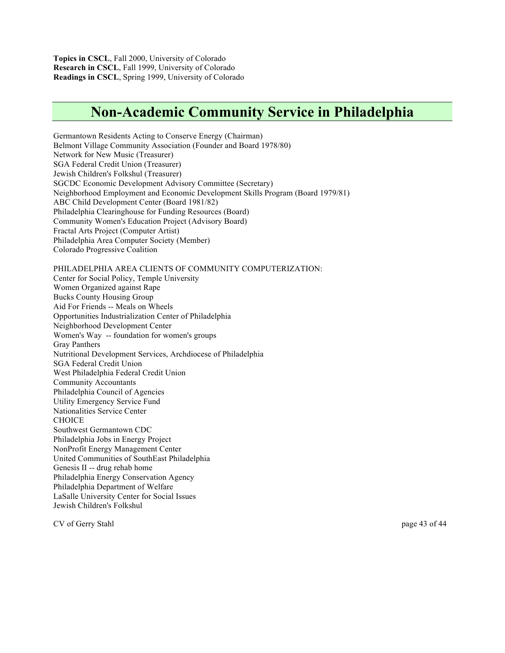**Topics in CSCL**, Fall 2000, University of Colorado **Research in CSCL**, Fall 1999, University of Colorado **Readings in CSCL**, Spring 1999, University of Colorado

# **Non-Academic Community Service in Philadelphia**

Germantown Residents Acting to Conserve Energy (Chairman) Belmont Village Community Association (Founder and Board 1978/80) Network for New Music (Treasurer) SGA Federal Credit Union (Treasurer) Jewish Children's Folkshul (Treasurer) SGCDC Economic Development Advisory Committee (Secretary) Neighborhood Employment and Economic Development Skills Program (Board 1979/81) ABC Child Development Center (Board 1981/82) Philadelphia Clearinghouse for Funding Resources (Board) Community Women's Education Project (Advisory Board) Fractal Arts Project (Computer Artist) Philadelphia Area Computer Society (Member) Colorado Progressive Coalition PHILADELPHIA AREA CLIENTS OF COMMUNITY COMPUTERIZATION: Center for Social Policy, Temple University Women Organized against Rape Bucks County Housing Group Aid For Friends -- Meals on Wheels Opportunities Industrialization Center of Philadelphia Neighborhood Development Center Women's Way -- foundation for women's groups Gray Panthers Nutritional Development Services, Archdiocese of Philadelphia SGA Federal Credit Union West Philadelphia Federal Credit Union Community Accountants Philadelphia Council of Agencies Utility Emergency Service Fund Nationalities Service Center **CHOICE** Southwest Germantown CDC Philadelphia Jobs in Energy Project NonProfit Energy Management Center United Communities of SouthEast Philadelphia Genesis II -- drug rehab home Philadelphia Energy Conservation Agency Philadelphia Department of Welfare LaSalle University Center for Social Issues Jewish Children's Folkshul

CV of Gerry Stahl page 43 of 44